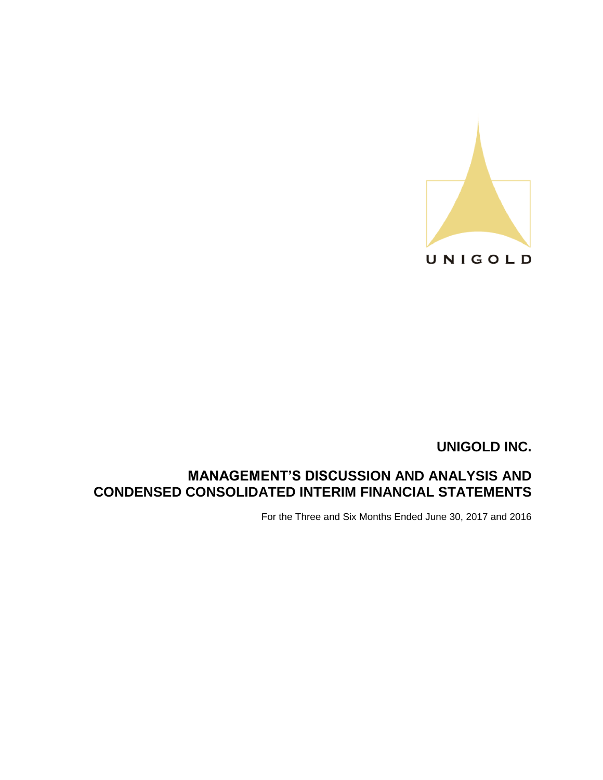

# **MANAGEMENT'S DISCUSSION AND ANALYSIS AND CONDENSED CONSOLIDATED INTERIM FINANCIAL STATEMENTS**

For the Three and Six Months Ended June 30, 2017 and 2016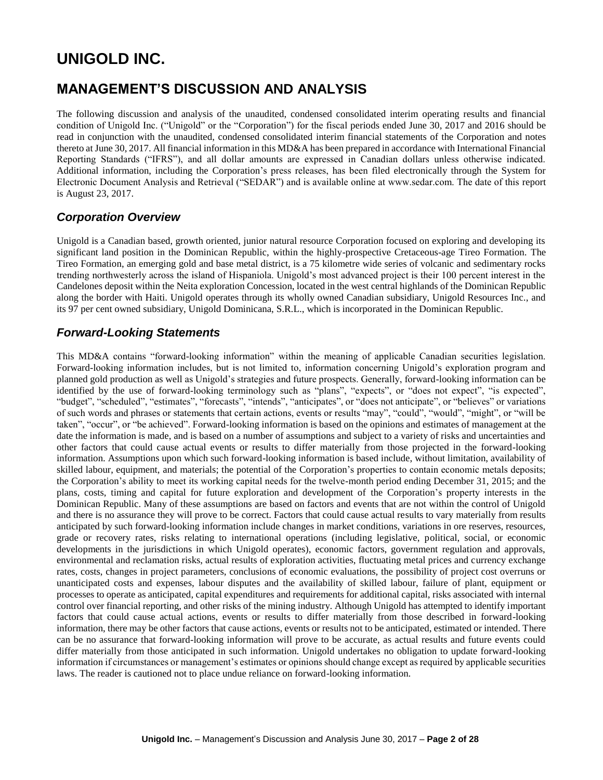# **MANAGEMENT'S DISCUSSION AND ANALYSIS**

The following discussion and analysis of the unaudited, condensed consolidated interim operating results and financial condition of Unigold Inc. ("Unigold" or the "Corporation") for the fiscal periods ended June 30, 2017 and 2016 should be read in conjunction with the unaudited, condensed consolidated interim financial statements of the Corporation and notes thereto at June 30, 2017. All financial information in this MD&A has been prepared in accordance with International Financial Reporting Standards ("IFRS"), and all dollar amounts are expressed in Canadian dollars unless otherwise indicated. Additional information, including the Corporation's press releases, has been filed electronically through the System for Electronic Document Analysis and Retrieval ("SEDAR") and is available online at www.sedar.com. The date of this report is August 23, 2017.

### *Corporation Overview*

Unigold is a Canadian based, growth oriented, junior natural resource Corporation focused on exploring and developing its significant land position in the Dominican Republic, within the highly-prospective Cretaceous-age Tireo Formation. The Tireo Formation, an emerging gold and base metal district, is a 75 kilometre wide series of volcanic and sedimentary rocks trending northwesterly across the island of Hispaniola. Unigold's most advanced project is their 100 percent interest in the Candelones deposit within the Neita exploration Concession, located in the west central highlands of the Dominican Republic along the border with Haiti. Unigold operates through its wholly owned Canadian subsidiary, Unigold Resources Inc., and its 97 per cent owned subsidiary, Unigold Dominicana, S.R.L., which is incorporated in the Dominican Republic.

# *Forward-Looking Statements*

This MD&A contains "forward-looking information" within the meaning of applicable Canadian securities legislation. Forward-looking information includes, but is not limited to, information concerning Unigold's exploration program and planned gold production as well as Unigold's strategies and future prospects. Generally, forward-looking information can be identified by the use of forward-looking terminology such as "plans", "expects", or "does not expect", "is expected", "budget", "scheduled", "estimates", "forecasts", "intends", "anticipates", or "does not anticipate", or "believes" or variations of such words and phrases or statements that certain actions, events or results "may", "could", "would", "might", or "will be taken", "occur", or "be achieved". Forward-looking information is based on the opinions and estimates of management at the date the information is made, and is based on a number of assumptions and subject to a variety of risks and uncertainties and other factors that could cause actual events or results to differ materially from those projected in the forward-looking information. Assumptions upon which such forward-looking information is based include, without limitation, availability of skilled labour, equipment, and materials; the potential of the Corporation's properties to contain economic metals deposits; the Corporation's ability to meet its working capital needs for the twelve-month period ending December 31, 2015; and the plans, costs, timing and capital for future exploration and development of the Corporation's property interests in the Dominican Republic. Many of these assumptions are based on factors and events that are not within the control of Unigold and there is no assurance they will prove to be correct. Factors that could cause actual results to vary materially from results anticipated by such forward-looking information include changes in market conditions, variations in ore reserves, resources, grade or recovery rates, risks relating to international operations (including legislative, political, social, or economic developments in the jurisdictions in which Unigold operates), economic factors, government regulation and approvals, environmental and reclamation risks, actual results of exploration activities, fluctuating metal prices and currency exchange rates, costs, changes in project parameters, conclusions of economic evaluations, the possibility of project cost overruns or unanticipated costs and expenses, labour disputes and the availability of skilled labour, failure of plant, equipment or processes to operate as anticipated, capital expenditures and requirements for additional capital, risks associated with internal control over financial reporting, and other risks of the mining industry. Although Unigold has attempted to identify important factors that could cause actual actions, events or results to differ materially from those described in forward-looking information, there may be other factors that cause actions, events or results not to be anticipated, estimated or intended. There can be no assurance that forward-looking information will prove to be accurate, as actual results and future events could differ materially from those anticipated in such information. Unigold undertakes no obligation to update forward-looking information if circumstances or management's estimates or opinions should change except as required by applicable securities laws. The reader is cautioned not to place undue reliance on forward-looking information.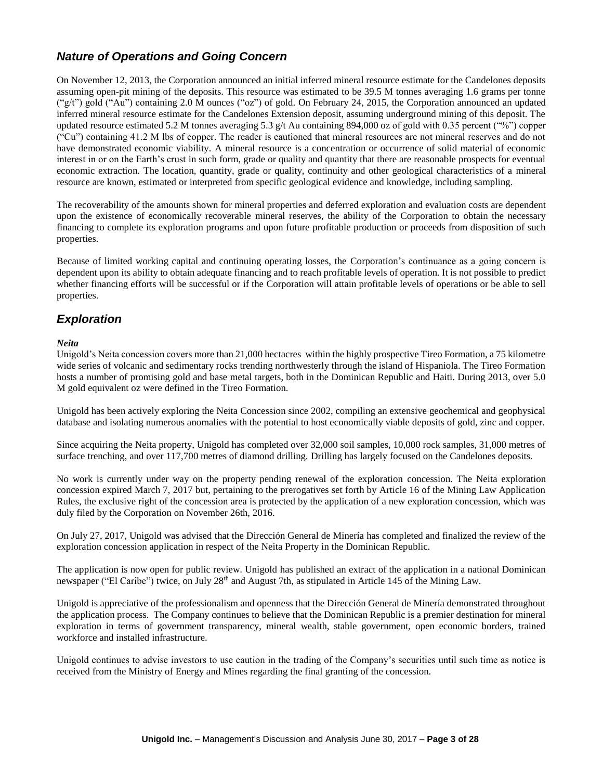# *Nature of Operations and Going Concern*

On November 12, 2013, the Corporation announced an initial inferred mineral resource estimate for the Candelones deposits assuming open-pit mining of the deposits. This resource was estimated to be 39.5 M tonnes averaging 1.6 grams per tonne ("g/t") gold ("Au") containing 2.0 M ounces ("oz") of gold. On February 24, 2015, the Corporation announced an updated inferred mineral resource estimate for the Candelones Extension deposit, assuming underground mining of this deposit. The updated resource estimated 5.2 M tonnes averaging 5.3 g/t Au containing 894,000 oz of gold with 0.35 percent ("%") copper ("Cu") containing 41.2 M lbs of copper. The reader is cautioned that mineral resources are not mineral reserves and do not have demonstrated economic viability. A mineral resource is a concentration or occurrence of solid material of economic interest in or on the Earth's crust in such form, grade or quality and quantity that there are reasonable prospects for eventual economic extraction. The location, quantity, grade or quality, continuity and other geological characteristics of a mineral resource are known, estimated or interpreted from specific geological evidence and knowledge, including sampling.

The recoverability of the amounts shown for mineral properties and deferred exploration and evaluation costs are dependent upon the existence of economically recoverable mineral reserves, the ability of the Corporation to obtain the necessary financing to complete its exploration programs and upon future profitable production or proceeds from disposition of such properties.

Because of limited working capital and continuing operating losses, the Corporation's continuance as a going concern is dependent upon its ability to obtain adequate financing and to reach profitable levels of operation. It is not possible to predict whether financing efforts will be successful or if the Corporation will attain profitable levels of operations or be able to sell properties.

# *Exploration*

#### *Neita*

Unigold's Neita concession covers more than 21,000 hectacres within the highly prospective Tireo Formation, a 75 kilometre wide series of volcanic and sedimentary rocks trending northwesterly through the island of Hispaniola. The Tireo Formation hosts a number of promising gold and base metal targets, both in the Dominican Republic and Haiti. During 2013, over 5.0 M gold equivalent oz were defined in the Tireo Formation.

Unigold has been actively exploring the Neita Concession since 2002, compiling an extensive geochemical and geophysical database and isolating numerous anomalies with the potential to host economically viable deposits of gold, zinc and copper.

Since acquiring the Neita property, Unigold has completed over 32,000 soil samples, 10,000 rock samples, 31,000 metres of surface trenching, and over 117,700 metres of diamond drilling. Drilling has largely focused on the Candelones deposits.

No work is currently under way on the property pending renewal of the exploration concession. The Neita exploration concession expired March 7, 2017 but, pertaining to the prerogatives set forth by Article 16 of the Mining Law Application Rules, the exclusive right of the concession area is protected by the application of a new exploration concession, which was duly filed by the Corporation on November 26th, 2016.

On July 27, 2017, Unigold was advised that the Dirección General de Minería has completed and finalized the review of the exploration concession application in respect of the Neita Property in the Dominican Republic.

The application is now open for public review. Unigold has published an extract of the application in a national Dominican newspaper ("El Caribe") twice, on July 28th and August 7th, as stipulated in Article 145 of the Mining Law.

Unigold is appreciative of the professionalism and openness that the Dirección General de Minería demonstrated throughout the application process. The Company continues to believe that the Dominican Republic is a premier destination for mineral exploration in terms of government transparency, mineral wealth, stable government, open economic borders, trained workforce and installed infrastructure.

Unigold continues to advise investors to use caution in the trading of the Company's securities until such time as notice is received from the Ministry of Energy and Mines regarding the final granting of the concession.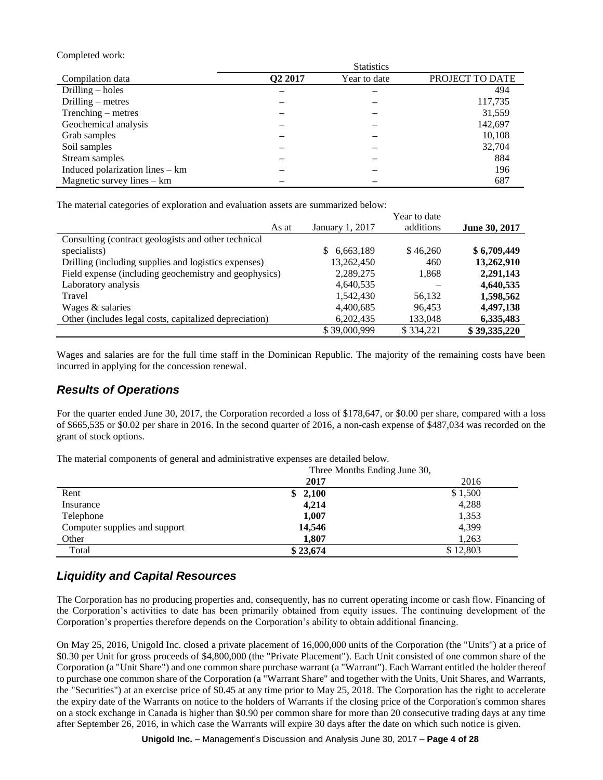Completed work:

|                                 |                     | <b>Statistics</b> |                 |
|---------------------------------|---------------------|-------------------|-----------------|
| Compilation data                | Q <sub>2</sub> 2017 | Year to date      | PROJECT TO DATE |
| Drilling $-$ holes              |                     |                   | 494             |
| Drilling $-$ metres             |                     |                   | 117,735         |
| Trenching – metres              |                     |                   | 31,559          |
| Geochemical analysis            |                     |                   | 142,697         |
| Grab samples                    |                     |                   | 10,108          |
| Soil samples                    |                     |                   | 32,704          |
| Stream samples                  |                     |                   | 884             |
| Induced polarization lines - km |                     |                   | 196             |
| Magnetic survey lines $-$ km    |                     |                   | 687             |

The material categories of exploration and evaluation assets are summarized below:

|                                                        |                 | Year to date |               |
|--------------------------------------------------------|-----------------|--------------|---------------|
| As at                                                  | January 1, 2017 | additions    | June 30, 2017 |
| Consulting (contract geologists and other technical    |                 |              |               |
| specialists)                                           | 6,663,189<br>S. | \$46,260     | \$6,709,449   |
| Drilling (including supplies and logistics expenses)   | 13,262,450      | 460          | 13,262,910    |
| Field expense (including geochemistry and geophysics)  | 2,289,275       | 1,868        | 2,291,143     |
| Laboratory analysis                                    | 4,640,535       |              | 4,640,535     |
| Travel                                                 | 1,542,430       | 56,132       | 1,598,562     |
| Wages & salaries                                       | 4,400,685       | 96,453       | 4,497,138     |
| Other (includes legal costs, capitalized depreciation) | 6,202,435       | 133,048      | 6,335,483     |
|                                                        | \$39,000,999    | \$334,221    | \$39,335,220  |

Wages and salaries are for the full time staff in the Dominican Republic. The majority of the remaining costs have been incurred in applying for the concession renewal.

### *Results of Operations*

For the quarter ended June 30, 2017, the Corporation recorded a loss of \$178,647, or \$0.00 per share, compared with a loss of \$665,535 or \$0.02 per share in 2016. In the second quarter of 2016, a non-cash expense of \$487,034 was recorded on the grant of stock options.

The material components of general and administrative expenses are detailed below.

|                               | Three Months Ending June 30, |          |
|-------------------------------|------------------------------|----------|
|                               | 2017                         | 2016     |
| Rent                          | 2,100<br>\$                  | \$1,500  |
| Insurance                     | 4,214                        | 4,288    |
| Telephone                     | 1,007                        | 1,353    |
| Computer supplies and support | 14,546                       | 4,399    |
| Other                         | 1,807                        | 1,263    |
| Total                         | \$23,674                     | \$12,803 |

# *Liquidity and Capital Resources*

The Corporation has no producing properties and, consequently, has no current operating income or cash flow. Financing of the Corporation's activities to date has been primarily obtained from equity issues. The continuing development of the Corporation's properties therefore depends on the Corporation's ability to obtain additional financing.

On May 25, 2016, Unigold Inc. closed a private placement of 16,000,000 units of the Corporation (the "Units") at a price of \$0.30 per Unit for gross proceeds of \$4,800,000 (the "Private Placement"). Each Unit consisted of one common share of the Corporation (a "Unit Share") and one common share purchase warrant (a "Warrant"). Each Warrant entitled the holder thereof to purchase one common share of the Corporation (a "Warrant Share" and together with the Units, Unit Shares, and Warrants, the "Securities") at an exercise price of \$0.45 at any time prior to May 25, 2018. The Corporation has the right to accelerate the expiry date of the Warrants on notice to the holders of Warrants if the closing price of the Corporation's common shares on a stock exchange in Canada is higher than \$0.90 per common share for more than 20 consecutive trading days at any time after September 26, 2016, in which case the Warrants will expire 30 days after the date on which such notice is given.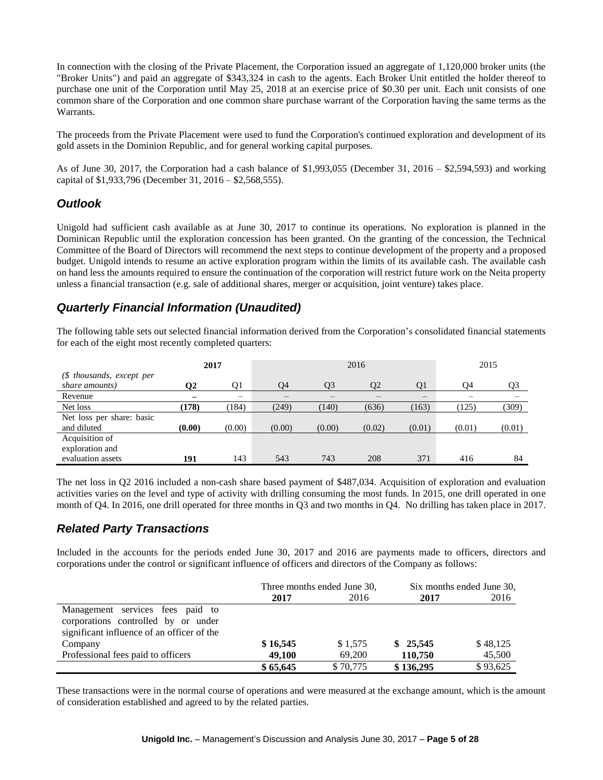In connection with the closing of the Private Placement, the Corporation issued an aggregate of 1,120,000 broker units (the "Broker Units") and paid an aggregate of \$343,324 in cash to the agents. Each Broker Unit entitled the holder thereof to purchase one unit of the Corporation until May 25, 2018 at an exercise price of \$0.30 per unit. Each unit consists of one common share of the Corporation and one common share purchase warrant of the Corporation having the same terms as the Warrants.

The proceeds from the Private Placement were used to fund the Corporation's continued exploration and development of its gold assets in the Dominion Republic, and for general working capital purposes.

As of June 30, 2017, the Corporation had a cash balance of \$1,993,055 (December 31, 2016 – \$2,594,593) and working capital of \$1,933,796 (December 31, 2016 – \$2,568,555).

# *Outlook*

Unigold had sufficient cash available as at June 30, 2017 to continue its operations. No exploration is planned in the Dominican Republic until the exploration concession has been granted. On the granting of the concession, the Technical Committee of the Board of Directors will recommend the next steps to continue development of the property and a proposed budget. Unigold intends to resume an active exploration program within the limits of its available cash. The available cash on hand less the amounts required to ensure the continuation of the corporation will restrict future work on the Neita property unless a financial transaction (e.g. sale of additional shares, merger or acquisition, joint venture) takes place.

# *Quarterly Financial Information (Unaudited)*

The following table sets out selected financial information derived from the Corporation's consolidated financial statements for each of the eight most recently completed quarters:

|                           |        | 2017   | 2016   |        |        |        | 2015   |        |
|---------------------------|--------|--------|--------|--------|--------|--------|--------|--------|
| (\$ thousands, except per |        |        |        |        |        |        |        |        |
| share amounts)            | 02     | 01     | O4     | O3     | O2     | O1     | 94     | O3     |
| Revenue                   |        |        |        |        |        |        |        |        |
| Net loss                  | (178)  | (184)  | (249)  | (140)  | (636)  | (163)  | (125)  | (309)  |
| Net loss per share: basic |        |        |        |        |        |        |        |        |
| and diluted               | (0.00) | (0.00) | (0.00) | (0.00) | (0.02) | (0.01) | (0.01) | (0.01) |
| Acquisition of            |        |        |        |        |        |        |        |        |
| exploration and           |        |        |        |        |        |        |        |        |
| evaluation assets         | 191    | 143    | 543    | 743    | 208    | 371    | 416    | 84     |

The net loss in Q2 2016 included a non-cash share based payment of \$487,034. Acquisition of exploration and evaluation activities varies on the level and type of activity with drilling consuming the most funds. In 2015, one drill operated in one month of Q4. In 2016, one drill operated for three months in Q3 and two months in Q4. No drilling has taken place in 2017.

# *Related Party Transactions*

Included in the accounts for the periods ended June 30, 2017 and 2016 are payments made to officers, directors and corporations under the control or significant influence of officers and directors of the Company as follows:

|                                            | Three months ended June 30, |          |           | Six months ended June 30, |
|--------------------------------------------|-----------------------------|----------|-----------|---------------------------|
|                                            | 2017                        | 2016     | 2017      | 2016                      |
| Management services fees paid to           |                             |          |           |                           |
| corporations controlled by or under        |                             |          |           |                           |
| significant influence of an officer of the |                             |          |           |                           |
| Company                                    | \$16,545                    | \$1,575  | \$25,545  | \$48,125                  |
| Professional fees paid to officers         | 49,100                      | 69,200   | 110,750   | 45,500                    |
|                                            | \$65,645                    | \$70,775 | \$136,295 | \$93,625                  |

These transactions were in the normal course of operations and were measured at the exchange amount, which is the amount of consideration established and agreed to by the related parties.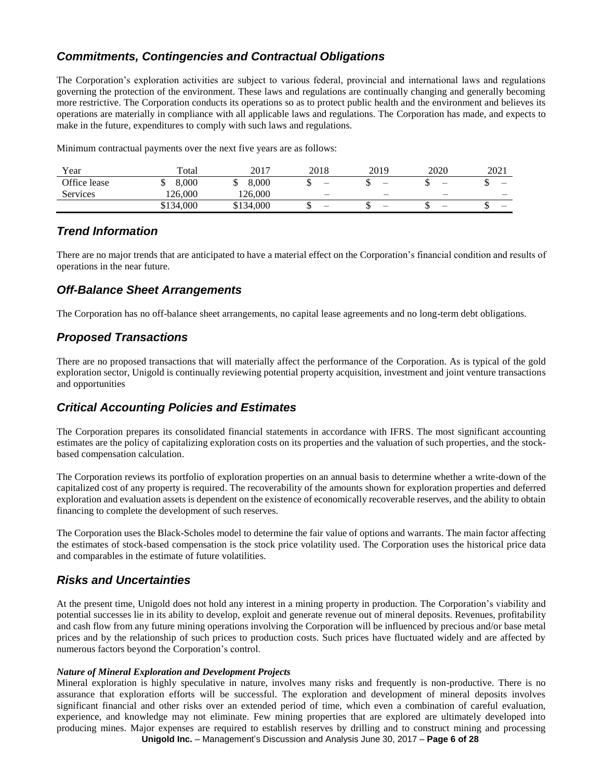# *Commitments, Contingencies and Contractual Obligations*

The Corporation's exploration activities are subject to various federal, provincial and international laws and regulations governing the protection of the environment. These laws and regulations are continually changing and generally becoming more restrictive. The Corporation conducts its operations so as to protect public health and the environment and believes its operations are materially in compliance with all applicable laws and regulations. The Corporation has made, and expects to make in the future, expenditures to comply with such laws and regulations.

Minimum contractual payments over the next five years are as follows:

| Year            | Total     | 2017      | 2018                     | 2019 | 2020 | 2021                     |
|-----------------|-----------|-----------|--------------------------|------|------|--------------------------|
| Office lease    | 8,000     | 8.000     | -                        | -    |      | $\overline{\phantom{0}}$ |
| <b>Services</b> | 126.000   | 126,000   | $\qquad \qquad -$        |      |      | $\overline{\phantom{0}}$ |
|                 | \$134,000 | \$134,000 | $\overline{\phantom{0}}$ |      |      | $\overline{\phantom{0}}$ |

### *Trend Information*

There are no major trends that are anticipated to have a material effect on the Corporation's financial condition and results of operations in the near future.

# *Off-Balance Sheet Arrangements*

The Corporation has no off-balance sheet arrangements, no capital lease agreements and no long-term debt obligations.

# *Proposed Transactions*

There are no proposed transactions that will materially affect the performance of the Corporation. As is typical of the gold exploration sector, Unigold is continually reviewing potential property acquisition, investment and joint venture transactions and opportunities

# *Critical Accounting Policies and Estimates*

The Corporation prepares its consolidated financial statements in accordance with IFRS. The most significant accounting estimates are the policy of capitalizing exploration costs on its properties and the valuation of such properties, and the stockbased compensation calculation.

The Corporation reviews its portfolio of exploration properties on an annual basis to determine whether a write-down of the capitalized cost of any property is required. The recoverability of the amounts shown for exploration properties and deferred exploration and evaluation assets is dependent on the existence of economically recoverable reserves, and the ability to obtain financing to complete the development of such reserves.

The Corporation uses the Black-Scholes model to determine the fair value of options and warrants. The main factor affecting the estimates of stock-based compensation is the stock price volatility used. The Corporation uses the historical price data and comparables in the estimate of future volatilities.

# *Risks and Uncertainties*

At the present time, Unigold does not hold any interest in a mining property in production. The Corporation's viability and potential successes lie in its ability to develop, exploit and generate revenue out of mineral deposits. Revenues, profitability and cash flow from any future mining operations involving the Corporation will be influenced by precious and/or base metal prices and by the relationship of such prices to production costs. Such prices have fluctuated widely and are affected by numerous factors beyond the Corporation's control.

#### *Nature of Mineral Exploration and Development Projects*

**Unigold Inc.** – Management's Discussion and Analysis June 30, 2017 – **Page 6 of 28** Mineral exploration is highly speculative in nature, involves many risks and frequently is non-productive. There is no assurance that exploration efforts will be successful. The exploration and development of mineral deposits involves significant financial and other risks over an extended period of time, which even a combination of careful evaluation, experience, and knowledge may not eliminate. Few mining properties that are explored are ultimately developed into producing mines. Major expenses are required to establish reserves by drilling and to construct mining and processing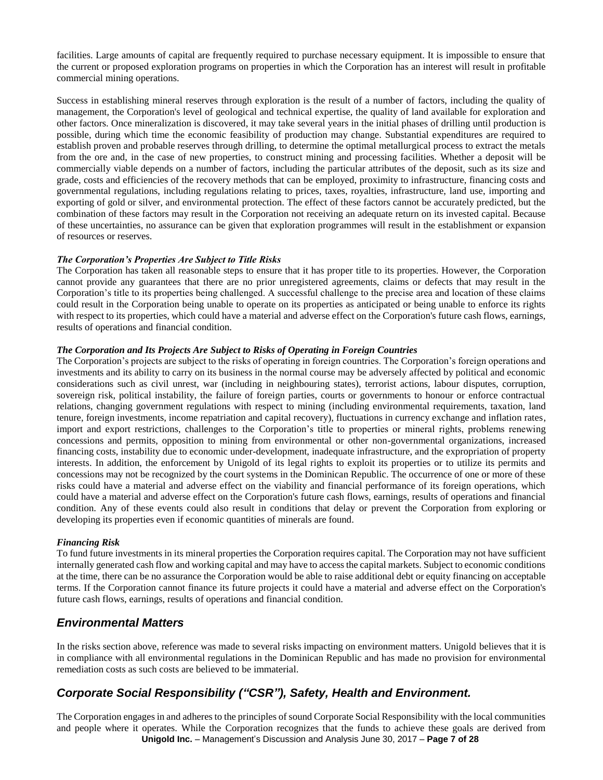facilities. Large amounts of capital are frequently required to purchase necessary equipment. It is impossible to ensure that the current or proposed exploration programs on properties in which the Corporation has an interest will result in profitable commercial mining operations.

Success in establishing mineral reserves through exploration is the result of a number of factors, including the quality of management, the Corporation's level of geological and technical expertise, the quality of land available for exploration and other factors. Once mineralization is discovered, it may take several years in the initial phases of drilling until production is possible, during which time the economic feasibility of production may change. Substantial expenditures are required to establish proven and probable reserves through drilling, to determine the optimal metallurgical process to extract the metals from the ore and, in the case of new properties, to construct mining and processing facilities. Whether a deposit will be commercially viable depends on a number of factors, including the particular attributes of the deposit, such as its size and grade, costs and efficiencies of the recovery methods that can be employed, proximity to infrastructure, financing costs and governmental regulations, including regulations relating to prices, taxes, royalties, infrastructure, land use, importing and exporting of gold or silver, and environmental protection. The effect of these factors cannot be accurately predicted, but the combination of these factors may result in the Corporation not receiving an adequate return on its invested capital. Because of these uncertainties, no assurance can be given that exploration programmes will result in the establishment or expansion of resources or reserves.

#### *The Corporation's Properties Are Subject to Title Risks*

The Corporation has taken all reasonable steps to ensure that it has proper title to its properties. However, the Corporation cannot provide any guarantees that there are no prior unregistered agreements, claims or defects that may result in the Corporation's title to its properties being challenged. A successful challenge to the precise area and location of these claims could result in the Corporation being unable to operate on its properties as anticipated or being unable to enforce its rights with respect to its properties, which could have a material and adverse effect on the Corporation's future cash flows, earnings, results of operations and financial condition.

#### *The Corporation and Its Projects Are Subject to Risks of Operating in Foreign Countries*

The Corporation's projects are subject to the risks of operating in foreign countries. The Corporation's foreign operations and investments and its ability to carry on its business in the normal course may be adversely affected by political and economic considerations such as civil unrest, war (including in neighbouring states), terrorist actions, labour disputes, corruption, sovereign risk, political instability, the failure of foreign parties, courts or governments to honour or enforce contractual relations, changing government regulations with respect to mining (including environmental requirements, taxation, land tenure, foreign investments, income repatriation and capital recovery), fluctuations in currency exchange and inflation rates, import and export restrictions, challenges to the Corporation's title to properties or mineral rights, problems renewing concessions and permits, opposition to mining from environmental or other non-governmental organizations, increased financing costs, instability due to economic under-development, inadequate infrastructure, and the expropriation of property interests. In addition, the enforcement by Unigold of its legal rights to exploit its properties or to utilize its permits and concessions may not be recognized by the court systems in the Dominican Republic. The occurrence of one or more of these risks could have a material and adverse effect on the viability and financial performance of its foreign operations, which could have a material and adverse effect on the Corporation's future cash flows, earnings, results of operations and financial condition. Any of these events could also result in conditions that delay or prevent the Corporation from exploring or developing its properties even if economic quantities of minerals are found.

#### *Financing Risk*

To fund future investments in its mineral properties the Corporation requires capital. The Corporation may not have sufficient internally generated cash flow and working capital and may have to access the capital markets. Subject to economic conditions at the time, there can be no assurance the Corporation would be able to raise additional debt or equity financing on acceptable terms. If the Corporation cannot finance its future projects it could have a material and adverse effect on the Corporation's future cash flows, earnings, results of operations and financial condition.

### *Environmental Matters*

In the risks section above, reference was made to several risks impacting on environment matters. Unigold believes that it is in compliance with all environmental regulations in the Dominican Republic and has made no provision for environmental remediation costs as such costs are believed to be immaterial.

# *Corporate Social Responsibility ("CSR"), Safety, Health and Environment.*

**Unigold Inc.** – Management's Discussion and Analysis June 30, 2017 – **Page 7 of 28** The Corporation engages in and adheres to the principles of sound Corporate Social Responsibility with the local communities and people where it operates. While the Corporation recognizes that the funds to achieve these goals are derived from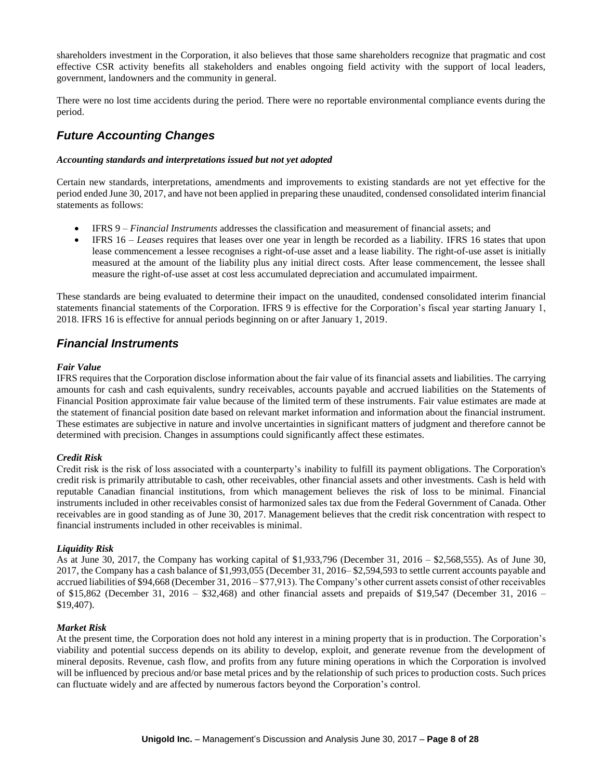shareholders investment in the Corporation, it also believes that those same shareholders recognize that pragmatic and cost effective CSR activity benefits all stakeholders and enables ongoing field activity with the support of local leaders, government, landowners and the community in general.

There were no lost time accidents during the period. There were no reportable environmental compliance events during the period.

# *Future Accounting Changes*

#### *Accounting standards and interpretations issued but not yet adopted*

Certain new standards, interpretations, amendments and improvements to existing standards are not yet effective for the period ended June 30, 2017, and have not been applied in preparing these unaudited, condensed consolidated interim financial statements as follows:

- IFRS 9 *Financial Instruments* addresses the classification and measurement of financial assets; and
- IFRS 16 *Leases* requires that leases over one year in length be recorded as a liability. IFRS 16 states that upon lease commencement a lessee recognises a right-of-use asset and a lease liability. The right-of-use asset is initially measured at the amount of the liability plus any initial direct costs. After lease commencement, the lessee shall measure the right-of-use asset at cost less accumulated depreciation and accumulated impairment.

These standards are being evaluated to determine their impact on the unaudited, condensed consolidated interim financial statements financial statements of the Corporation. IFRS 9 is effective for the Corporation's fiscal year starting January 1, 2018. IFRS 16 is effective for annual periods beginning on or after January 1, 2019.

### *Financial Instruments*

#### *Fair Value*

IFRS requires that the Corporation disclose information about the fair value of its financial assets and liabilities. The carrying amounts for cash and cash equivalents, sundry receivables, accounts payable and accrued liabilities on the Statements of Financial Position approximate fair value because of the limited term of these instruments. Fair value estimates are made at the statement of financial position date based on relevant market information and information about the financial instrument. These estimates are subjective in nature and involve uncertainties in significant matters of judgment and therefore cannot be determined with precision. Changes in assumptions could significantly affect these estimates.

#### *Credit Risk*

Credit risk is the risk of loss associated with a counterparty's inability to fulfill its payment obligations. The Corporation's credit risk is primarily attributable to cash, other receivables, other financial assets and other investments. Cash is held with reputable Canadian financial institutions, from which management believes the risk of loss to be minimal. Financial instruments included in other receivables consist of harmonized sales tax due from the Federal Government of Canada. Other receivables are in good standing as of June 30, 2017. Management believes that the credit risk concentration with respect to financial instruments included in other receivables is minimal.

#### *Liquidity Risk*

As at June 30, 2017, the Company has working capital of \$1,933,796 (December 31, 2016 – \$2,568,555). As of June 30, 2017, the Company has a cash balance of \$1,993,055 (December 31, 2016– \$2,594,593 to settle current accounts payable and accrued liabilities of \$94,668 (December 31, 2016 – \$77,913). The Company's other current assets consist of other receivables of \$15,862 (December 31, 2016 – \$32,468) and other financial assets and prepaids of \$19,547 (December 31, 2016 – \$19,407).

#### *Market Risk*

At the present time, the Corporation does not hold any interest in a mining property that is in production. The Corporation's viability and potential success depends on its ability to develop, exploit, and generate revenue from the development of mineral deposits. Revenue, cash flow, and profits from any future mining operations in which the Corporation is involved will be influenced by precious and/or base metal prices and by the relationship of such prices to production costs. Such prices can fluctuate widely and are affected by numerous factors beyond the Corporation's control.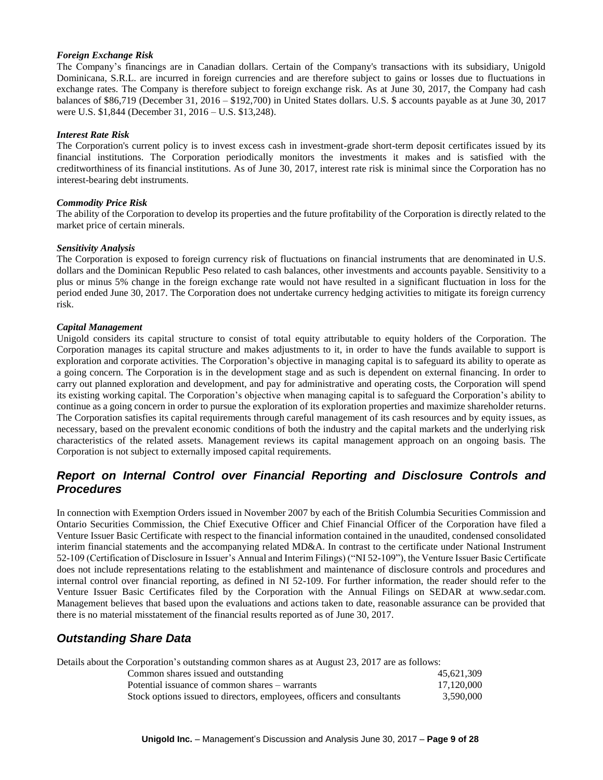#### *Foreign Exchange Risk*

The Company's financings are in Canadian dollars. Certain of the Company's transactions with its subsidiary, Unigold Dominicana, S.R.L. are incurred in foreign currencies and are therefore subject to gains or losses due to fluctuations in exchange rates. The Company is therefore subject to foreign exchange risk. As at June 30, 2017, the Company had cash balances of \$86,719 (December 31, 2016 – \$192,700) in United States dollars. U.S. \$ accounts payable as at June 30, 2017 were U.S. \$1,844 (December 31, 2016 – U.S. \$13,248).

#### *Interest Rate Risk*

The Corporation's current policy is to invest excess cash in investment-grade short-term deposit certificates issued by its financial institutions. The Corporation periodically monitors the investments it makes and is satisfied with the creditworthiness of its financial institutions. As of June 30, 2017, interest rate risk is minimal since the Corporation has no interest-bearing debt instruments.

#### *Commodity Price Risk*

The ability of the Corporation to develop its properties and the future profitability of the Corporation is directly related to the market price of certain minerals.

#### *Sensitivity Analysis*

The Corporation is exposed to foreign currency risk of fluctuations on financial instruments that are denominated in U.S. dollars and the Dominican Republic Peso related to cash balances, other investments and accounts payable. Sensitivity to a plus or minus 5% change in the foreign exchange rate would not have resulted in a significant fluctuation in loss for the period ended June 30, 2017. The Corporation does not undertake currency hedging activities to mitigate its foreign currency risk.

#### *Capital Management*

Unigold considers its capital structure to consist of total equity attributable to equity holders of the Corporation. The Corporation manages its capital structure and makes adjustments to it, in order to have the funds available to support is exploration and corporate activities. The Corporation's objective in managing capital is to safeguard its ability to operate as a going concern. The Corporation is in the development stage and as such is dependent on external financing. In order to carry out planned exploration and development, and pay for administrative and operating costs, the Corporation will spend its existing working capital. The Corporation's objective when managing capital is to safeguard the Corporation's ability to continue as a going concern in order to pursue the exploration of its exploration properties and maximize shareholder returns. The Corporation satisfies its capital requirements through careful management of its cash resources and by equity issues, as necessary, based on the prevalent economic conditions of both the industry and the capital markets and the underlying risk characteristics of the related assets. Management reviews its capital management approach on an ongoing basis. The Corporation is not subject to externally imposed capital requirements.

# *Report on Internal Control over Financial Reporting and Disclosure Controls and Procedures*

In connection with Exemption Orders issued in November 2007 by each of the British Columbia Securities Commission and Ontario Securities Commission, the Chief Executive Officer and Chief Financial Officer of the Corporation have filed a Venture Issuer Basic Certificate with respect to the financial information contained in the unaudited, condensed consolidated interim financial statements and the accompanying related MD&A. In contrast to the certificate under National Instrument 52-109 (Certification of Disclosure in Issuer's Annual and Interim Filings) ("NI 52-109"), the Venture Issuer Basic Certificate does not include representations relating to the establishment and maintenance of disclosure controls and procedures and internal control over financial reporting, as defined in NI 52-109. For further information, the reader should refer to the Venture Issuer Basic Certificates filed by the Corporation with the Annual Filings on SEDAR at www.sedar.com. Management believes that based upon the evaluations and actions taken to date, reasonable assurance can be provided that there is no material misstatement of the financial results reported as of June 30, 2017.

### *Outstanding Share Data*

Details about the Corporation's outstanding common shares as at August 23, 2017 are as follows: Common shares issued and outstanding 45,621,309

| Potential issuance of common shares – warrants                         | 17,120,000 |
|------------------------------------------------------------------------|------------|
| Stock options issued to directors, employees, officers and consultants | 3,590,000  |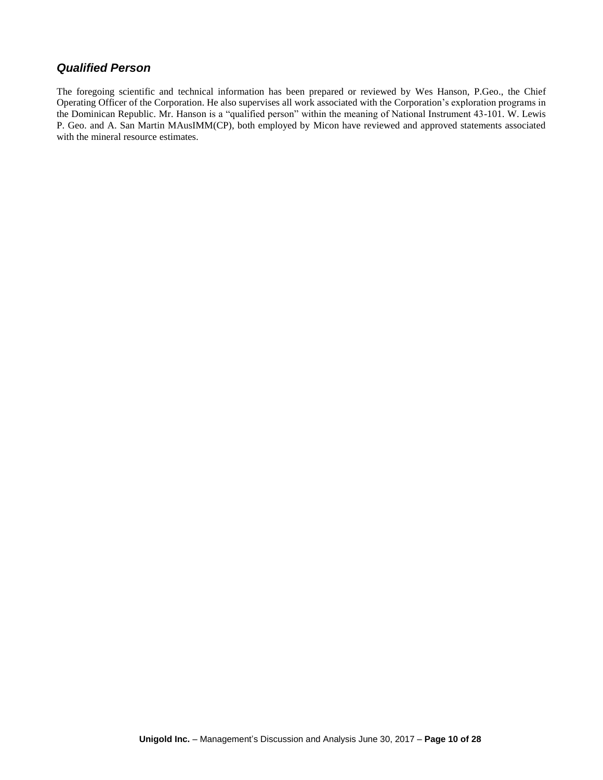### *Qualified Person*

The foregoing scientific and technical information has been prepared or reviewed by Wes Hanson, P.Geo., the Chief Operating Officer of the Corporation. He also supervises all work associated with the Corporation's exploration programs in the Dominican Republic. Mr. Hanson is a "qualified person" within the meaning of National Instrument 43-101. W. Lewis P. Geo. and A. San Martin MAusIMM(CP), both employed by Micon have reviewed and approved statements associated with the mineral resource estimates.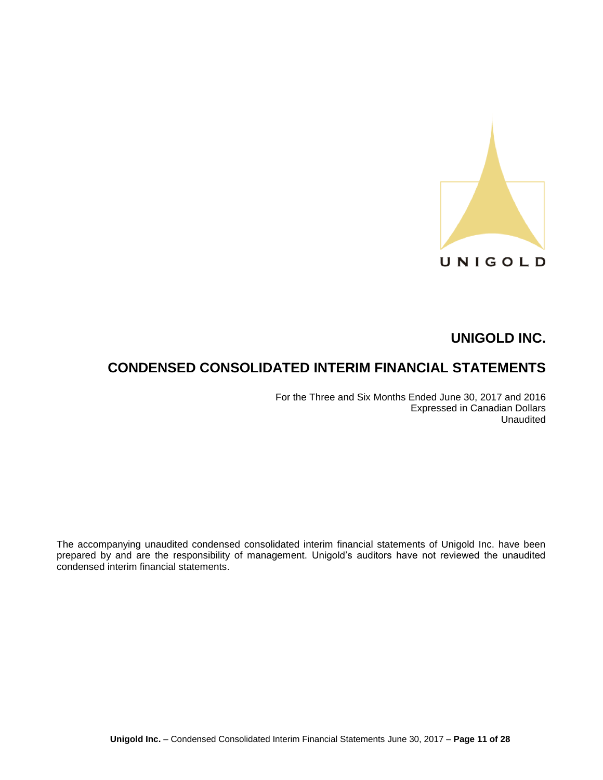

# **CONDENSED CONSOLIDATED INTERIM FINANCIAL STATEMENTS**

For the Three and Six Months Ended June 30, 2017 and 2016 Expressed in Canadian Dollars Unaudited

The accompanying unaudited condensed consolidated interim financial statements of Unigold Inc. have been prepared by and are the responsibility of management. Unigold's auditors have not reviewed the unaudited condensed interim financial statements.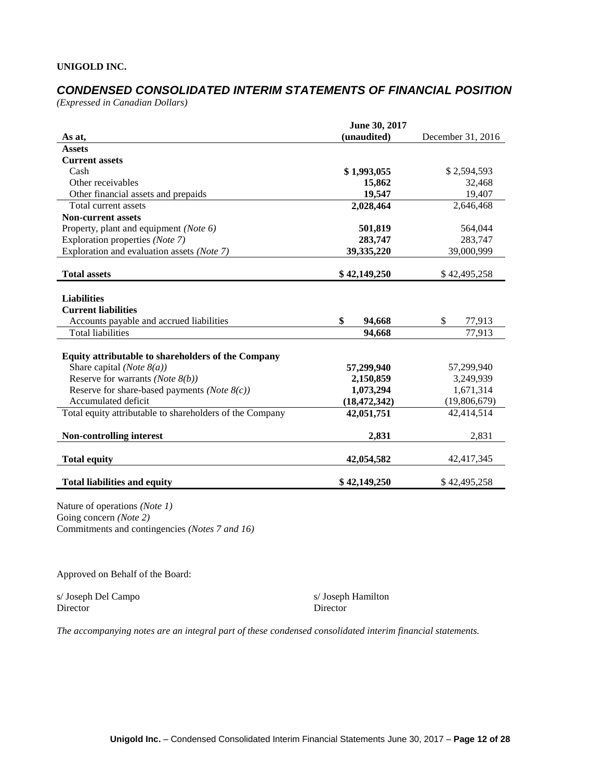# *CONDENSED CONSOLIDATED INTERIM STATEMENTS OF FINANCIAL POSITION*

*(Expressed in Canadian Dollars)*

|                                                          | June 30, 2017  |                   |
|----------------------------------------------------------|----------------|-------------------|
| As at,                                                   | (unaudited)    | December 31, 2016 |
| <b>Assets</b>                                            |                |                   |
| <b>Current assets</b>                                    |                |                   |
| Cash                                                     | \$1,993,055    | \$2,594,593       |
| Other receivables                                        | 15,862         | 32,468            |
| Other financial assets and prepaids                      | 19,547         | 19,407            |
| Total current assets                                     | 2,028,464      | 2,646,468         |
| <b>Non-current assets</b>                                |                |                   |
| Property, plant and equipment (Note 6)                   | 501,819        | 564,044           |
| Exploration properties (Note 7)                          | 283,747        | 283,747           |
| Exploration and evaluation assets (Note 7)               | 39,335,220     | 39,000,999        |
| <b>Total assets</b>                                      | \$42,149,250   | \$42,495,258      |
|                                                          |                |                   |
| <b>Liabilities</b>                                       |                |                   |
| <b>Current liabilities</b>                               |                |                   |
| Accounts payable and accrued liabilities                 | \$<br>94,668   | \$.<br>77,913     |
| <b>Total liabilities</b>                                 | 94,668         | 77,913            |
|                                                          |                |                   |
| Equity attributable to shareholders of the Company       |                |                   |
| Share capital (Note $8(a)$ )                             | 57,299,940     | 57,299,940        |
| Reserve for warrants ( <i>Note</i> $8(b)$ )              | 2,150,859      | 3,249,939         |
| Reserve for share-based payments ( <i>Note</i> $8(c)$ )  | 1,073,294      | 1,671,314         |
| Accumulated deficit                                      | (18, 472, 342) | (19,806,679)      |
| Total equity attributable to shareholders of the Company | 42,051,751     | 42,414,514        |
|                                                          |                |                   |
| <b>Non-controlling interest</b>                          | 2,831          | 2,831             |
|                                                          |                |                   |
| <b>Total equity</b>                                      | 42,054,582     | 42,417,345        |
| <b>Total liabilities and equity</b>                      | \$42,149,250   | \$42,495,258      |

Nature of operations *(Note 1)* Going concern *(Note 2)* Commitments and contingencies *(Notes 7 and 16)*

Approved on Behalf of the Board:

s/ Joseph Del Campo s/ Joseph Hamilton Director Director Director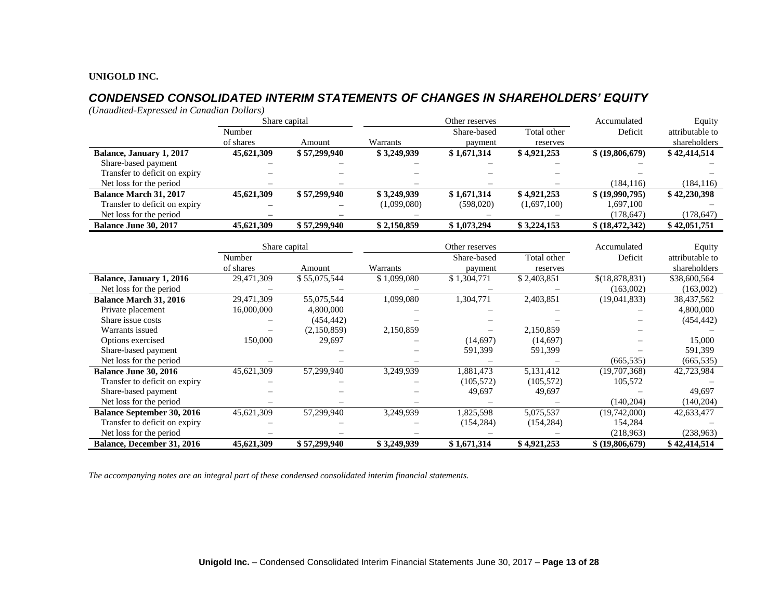# *CONDENSED CONSOLIDATED INTERIM STATEMENTS OF CHANGES IN SHAREHOLDERS' EQUITY*

*(Unaudited-Expressed in Canadian Dollars)*

|                               |            | Share capital | Other reserves |             | Accumulated              |                 | Equity          |
|-------------------------------|------------|---------------|----------------|-------------|--------------------------|-----------------|-----------------|
|                               | Number     |               |                | Share-based | Total other              | Deficit         | attributable to |
|                               | of shares  | Amount        | Warrants       | payment     | reserves                 |                 | shareholders    |
| Balance, January 1, 2017      | 45,621,309 | \$57,299,940  | \$3,249,939    | \$1,671,314 | \$4,921,253              | \$ (19,806,679) | \$42,414,514    |
| Share-based payment           |            |               |                |             |                          |                 |                 |
| Transfer to deficit on expiry |            |               |                |             |                          |                 |                 |
| Net loss for the period       |            |               |                |             |                          | (184.116)       | (184, 116)      |
| <b>Balance March 31, 2017</b> | 45,621,309 | \$57,299,940  | \$3,249,939    | \$1,671,314 | \$4,921,253              | \$ (19,990,795) | \$42,230,398    |
| Transfer to deficit on expiry |            |               | (1,099,080)    | (598,020)   | (1,697,100)              | 1,697,100       |                 |
| Net loss for the period       | -          |               |                |             | $\overline{\phantom{0}}$ | (178, 647)      | (178, 647)      |
| <b>Balance June 30, 2017</b>  | 45,621,309 | \$57,299,940  | \$2,150,859    | \$1,073,294 | \$3,224,153              | \$ (18,472,342) | \$42,051,751    |

|                                   |            | Share capital | Other reserves |             |             | Accumulated     | Equity          |
|-----------------------------------|------------|---------------|----------------|-------------|-------------|-----------------|-----------------|
|                                   | Number     |               |                | Share-based | Total other | Deficit         | attributable to |
|                                   | of shares  | Amount        | Warrants       | payment     | reserves    |                 | shareholders    |
| Balance, January 1, 2016          | 29,471,309 | \$55,075,544  | \$1,099,080    | \$1,304,771 | \$2,403,851 | \$(18,878,831)  | \$38,600,564    |
| Net loss for the period           |            |               |                |             |             | (163,002)       | (163,002)       |
| <b>Balance March 31, 2016</b>     | 29,471,309 | 55,075,544    | 1,099,080      | 1,304,771   | 2,403,851   | (19,041,833)    | 38,437,562      |
| Private placement                 | 16,000,000 | 4,800,000     |                |             |             |                 | 4,800,000       |
| Share issue costs                 |            | (454, 442)    |                |             |             |                 | (454, 442)      |
| Warrants issued                   |            | (2,150,859)   | 2,150,859      |             | 2,150,859   |                 |                 |
| Options exercised                 | 150,000    | 29,697        |                | (14,697)    | (14,697)    |                 | 15,000          |
| Share-based payment               |            |               |                | 591,399     | 591,399     |                 | 591,399         |
| Net loss for the period           |            |               |                |             |             | (665, 535)      | (665, 535)      |
| <b>Balance June 30, 2016</b>      | 45,621,309 | 57,299,940    | 3,249,939      | 1,881,473   | 5,131,412   | (19,707,368)    | 42,723,984      |
| Transfer to deficit on expiry     |            |               |                | (105, 572)  | (105, 572)  | 105,572         |                 |
| Share-based payment               |            |               |                | 49,697      | 49,697      |                 | 49,697          |
| Net loss for the period           |            |               |                |             |             | (140, 204)      | (140, 204)      |
| <b>Balance September 30, 2016</b> | 45,621,309 | 57,299,940    | 3,249,939      | 1,825,598   | 5,075,537   | (19,742,000)    | 42,633,477      |
| Transfer to deficit on expiry     |            |               |                | (154, 284)  | (154, 284)  | 154,284         |                 |
| Net loss for the period           |            |               |                |             |             | (218,963)       | (238, 963)      |
| <b>Balance, December 31, 2016</b> | 45,621,309 | \$57,299,940  | \$3,249,939    | \$1,671,314 | \$4,921,253 | \$ (19,806,679) | \$42,414,514    |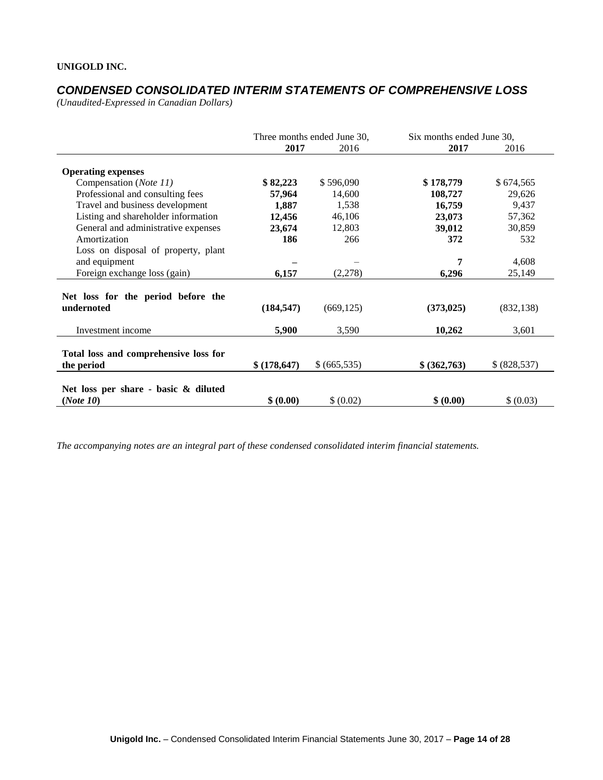# *CONDENSED CONSOLIDATED INTERIM STATEMENTS OF COMPREHENSIVE LOSS*

*(Unaudited-Expressed in Canadian Dollars)* 

|                                                     | Three months ended June 30, |             | Six months ended June 30, |             |
|-----------------------------------------------------|-----------------------------|-------------|---------------------------|-------------|
|                                                     | 2017                        | 2016        | 2017                      | 2016        |
| <b>Operating expenses</b>                           |                             |             |                           |             |
| Compensation (Note 11)                              | \$82,223                    | \$596,090   | \$178,779                 | \$674,565   |
| Professional and consulting fees                    | 57,964                      | 14,600      | 108,727                   | 29,626      |
| Travel and business development                     | 1,887                       | 1,538       | 16,759                    | 9,437       |
| Listing and shareholder information                 | 12,456                      | 46,106      | 23,073                    | 57,362      |
| General and administrative expenses                 | 23,674                      | 12,803      | 39,012                    | 30,859      |
| Amortization                                        | 186                         | 266         | 372                       | 532         |
| Loss on disposal of property, plant                 |                             |             |                           |             |
| and equipment                                       |                             |             | 7                         | 4,608       |
| Foreign exchange loss (gain)                        | 6,157                       | (2,278)     | 6,296                     | 25,149      |
| Net loss for the period before the<br>undernoted    | (184, 547)                  | (669, 125)  | (373, 025)                | (832, 138)  |
| Investment income                                   | 5,900                       | 3,590       | 10,262                    | 3,601       |
| Total loss and comprehensive loss for<br>the period | \$(178, 647)                | \$(665,535) | \$ (362,763)              | \$(828,537) |
| Net loss per share - basic & diluted<br>(Note 10)   | \$ (0.00)                   | \$ (0.02)   | \$ (0.00)                 | \$ (0.03)   |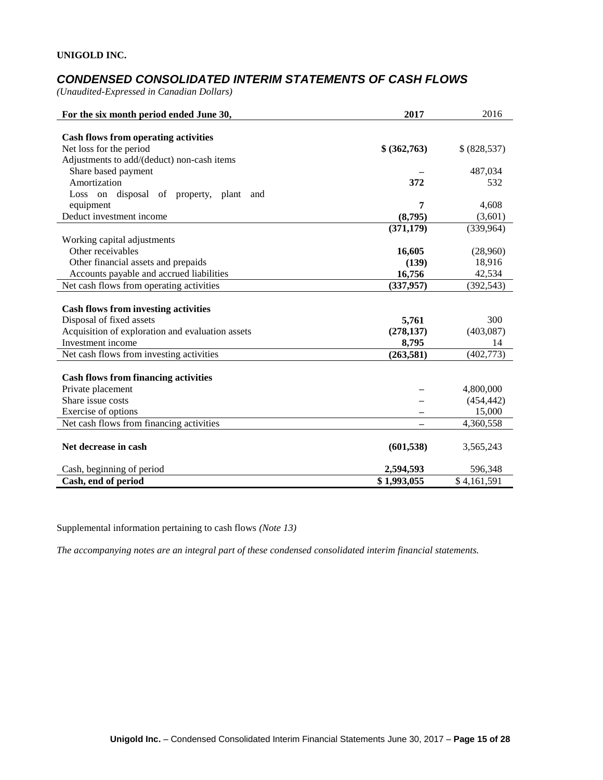# *CONDENSED CONSOLIDATED INTERIM STATEMENTS OF CASH FLOWS*

*(Unaudited-Expressed in Canadian Dollars)* 

| For the six month period ended June 30,          | 2017         | 2016          |
|--------------------------------------------------|--------------|---------------|
|                                                  |              |               |
| <b>Cash flows from operating activities</b>      |              |               |
| Net loss for the period                          | \$ (362,763) | \$ (828, 537) |
| Adjustments to add/(deduct) non-cash items       |              |               |
| Share based payment                              |              | 487,034       |
| Amortization                                     | 372          | 532           |
| disposal of property, plant<br>Loss on<br>and    |              |               |
| equipment                                        | 7            | 4,608         |
| Deduct investment income                         | (8,795)      | (3,601)       |
|                                                  | (371, 179)   | (339,964)     |
| Working capital adjustments                      |              |               |
| Other receivables                                | 16,605       | (28,960)      |
| Other financial assets and prepaids              | (139)        | 18,916        |
| Accounts payable and accrued liabilities         | 16,756       | 42,534        |
| Net cash flows from operating activities         | (337, 957)   | (392, 543)    |
|                                                  |              |               |
| <b>Cash flows from investing activities</b>      |              |               |
| Disposal of fixed assets                         | 5,761        | 300           |
| Acquisition of exploration and evaluation assets | (278, 137)   | (403,087)     |
| Investment income                                | 8,795        | 14            |
| Net cash flows from investing activities         | (263, 581)   | (402, 773)    |
|                                                  |              |               |
| <b>Cash flows from financing activities</b>      |              |               |
| Private placement                                |              | 4,800,000     |
| Share issue costs                                |              | (454, 442)    |
| Exercise of options                              |              | 15,000        |
| Net cash flows from financing activities         |              | 4,360,558     |
|                                                  |              |               |
| Net decrease in cash                             | (601, 538)   | 3,565,243     |
| Cash, beginning of period                        | 2,594,593    | 596,348       |
| Cash, end of period                              | \$1,993,055  | \$4,161,591   |

Supplemental information pertaining to cash flows *(Note 13)*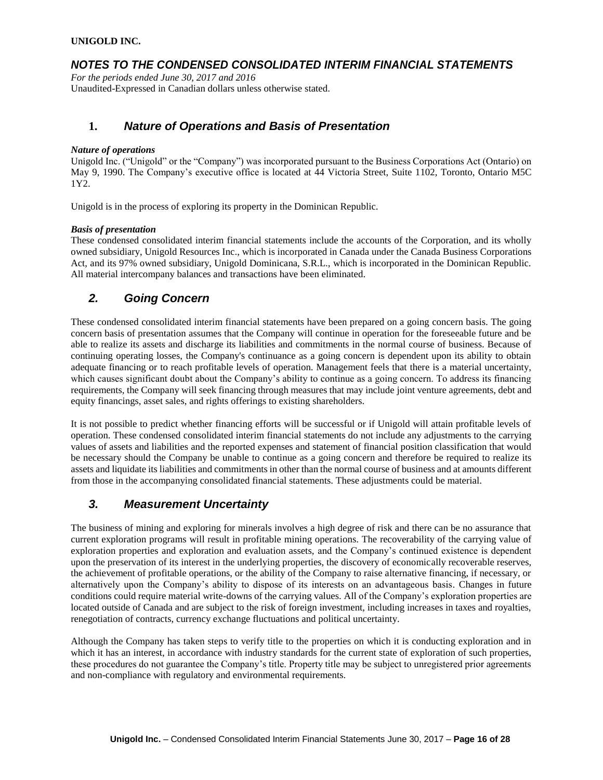## *NOTES TO THE CONDENSED CONSOLIDATED INTERIM FINANCIAL STATEMENTS*

*For the periods ended June 30, 2017 and 2016* Unaudited-Expressed in Canadian dollars unless otherwise stated.

### **1.** *Nature of Operations and Basis of Presentation*

#### *Nature of operations*

Unigold Inc. ("Unigold" or the "Company") was incorporated pursuant to the Business Corporations Act (Ontario) on May 9, 1990. The Company's executive office is located at 44 Victoria Street, Suite 1102, Toronto, Ontario M5C 1Y2.

Unigold is in the process of exploring its property in the Dominican Republic.

#### *Basis of presentation*

These condensed consolidated interim financial statements include the accounts of the Corporation, and its wholly owned subsidiary, Unigold Resources Inc., which is incorporated in Canada under the Canada Business Corporations Act, and its 97% owned subsidiary, Unigold Dominicana, S.R.L., which is incorporated in the Dominican Republic. All material intercompany balances and transactions have been eliminated.

### *2. Going Concern*

These condensed consolidated interim financial statements have been prepared on a going concern basis. The going concern basis of presentation assumes that the Company will continue in operation for the foreseeable future and be able to realize its assets and discharge its liabilities and commitments in the normal course of business. Because of continuing operating losses, the Company's continuance as a going concern is dependent upon its ability to obtain adequate financing or to reach profitable levels of operation. Management feels that there is a material uncertainty, which causes significant doubt about the Company's ability to continue as a going concern. To address its financing requirements, the Company will seek financing through measures that may include joint venture agreements, debt and equity financings, asset sales, and rights offerings to existing shareholders.

It is not possible to predict whether financing efforts will be successful or if Unigold will attain profitable levels of operation. These condensed consolidated interim financial statements do not include any adjustments to the carrying values of assets and liabilities and the reported expenses and statement of financial position classification that would be necessary should the Company be unable to continue as a going concern and therefore be required to realize its assets and liquidate its liabilities and commitments in other than the normal course of business and at amounts different from those in the accompanying consolidated financial statements. These adjustments could be material.

### *3. Measurement Uncertainty*

The business of mining and exploring for minerals involves a high degree of risk and there can be no assurance that current exploration programs will result in profitable mining operations. The recoverability of the carrying value of exploration properties and exploration and evaluation assets, and the Company's continued existence is dependent upon the preservation of its interest in the underlying properties, the discovery of economically recoverable reserves, the achievement of profitable operations, or the ability of the Company to raise alternative financing, if necessary, or alternatively upon the Company's ability to dispose of its interests on an advantageous basis. Changes in future conditions could require material write-downs of the carrying values. All of the Company's exploration properties are located outside of Canada and are subject to the risk of foreign investment, including increases in taxes and royalties, renegotiation of contracts, currency exchange fluctuations and political uncertainty.

Although the Company has taken steps to verify title to the properties on which it is conducting exploration and in which it has an interest, in accordance with industry standards for the current state of exploration of such properties, these procedures do not guarantee the Company's title. Property title may be subject to unregistered prior agreements and non-compliance with regulatory and environmental requirements.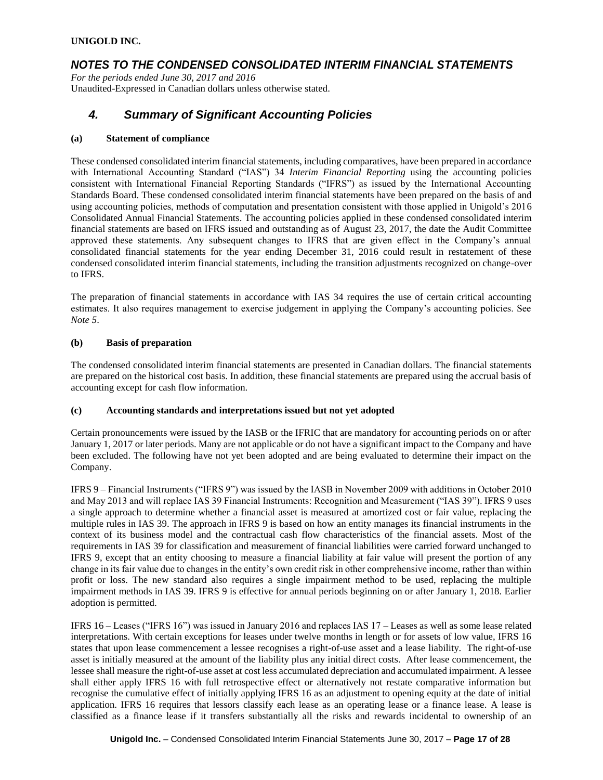### *NOTES TO THE CONDENSED CONSOLIDATED INTERIM FINANCIAL STATEMENTS*

*For the periods ended June 30, 2017 and 2016* Unaudited-Expressed in Canadian dollars unless otherwise stated.

### *4. Summary of Significant Accounting Policies*

#### **(a) Statement of compliance**

These condensed consolidated interim financial statements, including comparatives, have been prepared in accordance with International Accounting Standard ("IAS") 34 *Interim Financial Reporting* using the accounting policies consistent with International Financial Reporting Standards ("IFRS") as issued by the International Accounting Standards Board. These condensed consolidated interim financial statements have been prepared on the basis of and using accounting policies, methods of computation and presentation consistent with those applied in Unigold's 2016 Consolidated Annual Financial Statements. The accounting policies applied in these condensed consolidated interim financial statements are based on IFRS issued and outstanding as of August 23, 2017, the date the Audit Committee approved these statements. Any subsequent changes to IFRS that are given effect in the Company's annual consolidated financial statements for the year ending December 31, 2016 could result in restatement of these condensed consolidated interim financial statements, including the transition adjustments recognized on change-over to IFRS.

The preparation of financial statements in accordance with IAS 34 requires the use of certain critical accounting estimates. It also requires management to exercise judgement in applying the Company's accounting policies. See *Note 5*.

#### **(b) Basis of preparation**

The condensed consolidated interim financial statements are presented in Canadian dollars. The financial statements are prepared on the historical cost basis. In addition, these financial statements are prepared using the accrual basis of accounting except for cash flow information.

#### **(c) Accounting standards and interpretations issued but not yet adopted**

Certain pronouncements were issued by the IASB or the IFRIC that are mandatory for accounting periods on or after January 1, 2017 or later periods. Many are not applicable or do not have a significant impact to the Company and have been excluded. The following have not yet been adopted and are being evaluated to determine their impact on the Company.

IFRS 9 – Financial Instruments ("IFRS 9") was issued by the IASB in November 2009 with additions in October 2010 and May 2013 and will replace IAS 39 Financial Instruments: Recognition and Measurement ("IAS 39"). IFRS 9 uses a single approach to determine whether a financial asset is measured at amortized cost or fair value, replacing the multiple rules in IAS 39. The approach in IFRS 9 is based on how an entity manages its financial instruments in the context of its business model and the contractual cash flow characteristics of the financial assets. Most of the requirements in IAS 39 for classification and measurement of financial liabilities were carried forward unchanged to IFRS 9, except that an entity choosing to measure a financial liability at fair value will present the portion of any change in its fair value due to changes in the entity's own credit risk in other comprehensive income, rather than within profit or loss. The new standard also requires a single impairment method to be used, replacing the multiple impairment methods in IAS 39. IFRS 9 is effective for annual periods beginning on or after January 1, 2018. Earlier adoption is permitted.

IFRS 16 – Leases ("IFRS 16") was issued in January 2016 and replaces IAS 17 – Leases as well as some lease related interpretations. With certain exceptions for leases under twelve months in length or for assets of low value, IFRS 16 states that upon lease commencement a lessee recognises a right-of-use asset and a lease liability. The right-of-use asset is initially measured at the amount of the liability plus any initial direct costs. After lease commencement, the lessee shall measure the right-of-use asset at cost less accumulated depreciation and accumulated impairment. A lessee shall either apply IFRS 16 with full retrospective effect or alternatively not restate comparative information but recognise the cumulative effect of initially applying IFRS 16 as an adjustment to opening equity at the date of initial application. IFRS 16 requires that lessors classify each lease as an operating lease or a finance lease. A lease is classified as a finance lease if it transfers substantially all the risks and rewards incidental to ownership of an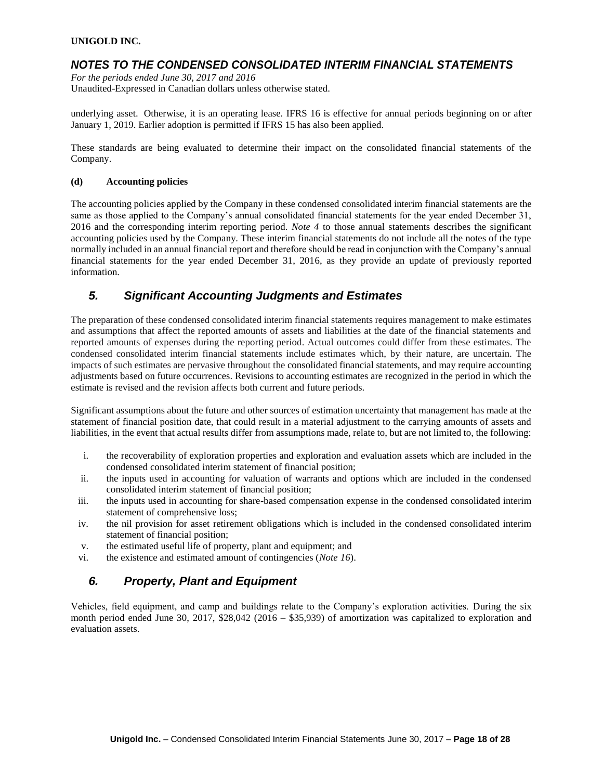## *NOTES TO THE CONDENSED CONSOLIDATED INTERIM FINANCIAL STATEMENTS*

*For the periods ended June 30, 2017 and 2016* Unaudited-Expressed in Canadian dollars unless otherwise stated.

underlying asset. Otherwise, it is an operating lease. IFRS 16 is effective for annual periods beginning on or after January 1, 2019. Earlier adoption is permitted if IFRS 15 has also been applied.

These standards are being evaluated to determine their impact on the consolidated financial statements of the Company.

#### **(d) Accounting policies**

The accounting policies applied by the Company in these condensed consolidated interim financial statements are the same as those applied to the Company's annual consolidated financial statements for the year ended December 31, 2016 and the corresponding interim reporting period. *Note 4* to those annual statements describes the significant accounting policies used by the Company. These interim financial statements do not include all the notes of the type normally included in an annual financial report and therefore should be read in conjunction with the Company's annual financial statements for the year ended December 31, 2016, as they provide an update of previously reported information.

### *5. Significant Accounting Judgments and Estimates*

The preparation of these condensed consolidated interim financial statements requires management to make estimates and assumptions that affect the reported amounts of assets and liabilities at the date of the financial statements and reported amounts of expenses during the reporting period. Actual outcomes could differ from these estimates. The condensed consolidated interim financial statements include estimates which, by their nature, are uncertain. The impacts of such estimates are pervasive throughout the consolidated financial statements, and may require accounting adjustments based on future occurrences. Revisions to accounting estimates are recognized in the period in which the estimate is revised and the revision affects both current and future periods.

Significant assumptions about the future and other sources of estimation uncertainty that management has made at the statement of financial position date, that could result in a material adjustment to the carrying amounts of assets and liabilities, in the event that actual results differ from assumptions made, relate to, but are not limited to, the following:

- i. the recoverability of exploration properties and exploration and evaluation assets which are included in the condensed consolidated interim statement of financial position;
- ii. the inputs used in accounting for valuation of warrants and options which are included in the condensed consolidated interim statement of financial position;
- iii. the inputs used in accounting for share-based compensation expense in the condensed consolidated interim statement of comprehensive loss;
- iv. the nil provision for asset retirement obligations which is included in the condensed consolidated interim statement of financial position;
- v. the estimated useful life of property, plant and equipment; and
- vi. the existence and estimated amount of contingencies (*Note 16*).

# *6. Property, Plant and Equipment*

Vehicles, field equipment, and camp and buildings relate to the Company's exploration activities. During the six month period ended June 30, 2017, \$28,042 (2016 – \$35,939) of amortization was capitalized to exploration and evaluation assets.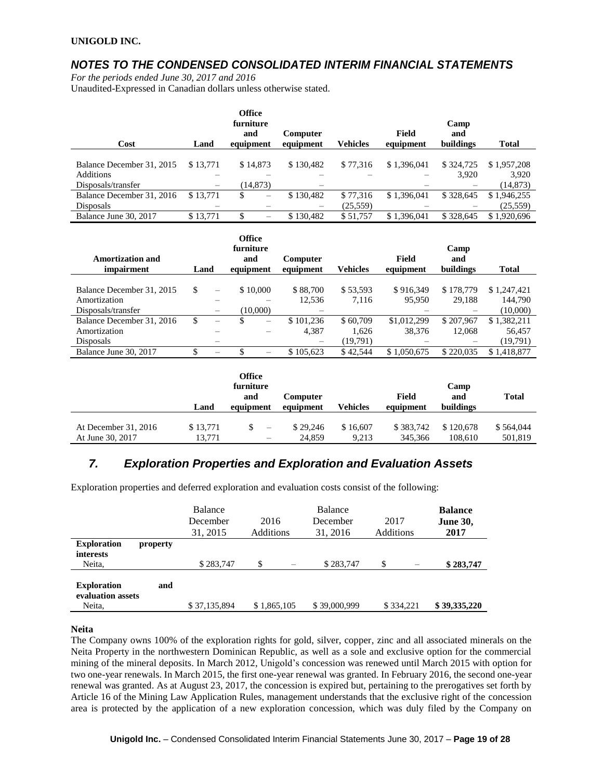## *NOTES TO THE CONDENSED CONSOLIDATED INTERIM FINANCIAL STATEMENTS*

*For the periods ended June 30, 2017 and 2016*

Unaudited-Expressed in Canadian dollars unless otherwise stated.

| Cost                      | Land                     | <b>Office</b><br>furniture<br>and<br>equipment | Computer<br>equipment | <b>Vehicles</b> | <b>Field</b><br>equipment | Camp<br>and<br>buildings | Total       |
|---------------------------|--------------------------|------------------------------------------------|-----------------------|-----------------|---------------------------|--------------------------|-------------|
|                           |                          |                                                |                       |                 |                           |                          |             |
| Balance December 31, 2015 | \$13.771                 | \$14,873                                       | \$130.482             | \$77,316        | \$1,396,041               | \$324,725                | \$1,957,208 |
| Additions                 |                          |                                                |                       |                 |                           | 3.920                    | 3,920       |
| Disposals/transfer        | $\overline{\phantom{m}}$ | (14, 873)                                      | –                     |                 |                           |                          | (14, 873)   |
| Balance December 31, 2016 | \$13,771                 | S<br>$\overline{\phantom{m}}$                  | \$130,482             | \$77,316        | \$1,396,041               | \$328,645                | \$1,946,255 |
| <b>Disposals</b>          |                          |                                                | —                     | (25, 559)       |                           |                          | (25, 559)   |
| Balance June 30, 2017     | \$13.771                 | S                                              | \$130.482             | \$51,757        | \$1.396.041               | \$328,645                | \$1,920,696 |

| Amortization and<br><i>impairment</i> | Land |                                | <b>Office</b><br>furniture<br>and<br>equipment | Computer<br>equipment | <b>Vehicles</b> | <b>Field</b><br>equipment | Camp<br>and<br>buildings | <b>Total</b> |
|---------------------------------------|------|--------------------------------|------------------------------------------------|-----------------------|-----------------|---------------------------|--------------------------|--------------|
|                                       |      |                                |                                                |                       |                 |                           |                          |              |
| Balance December 31, 2015             | \$   | $\equiv$                       | \$10,000                                       | \$88,700              | \$53,593        | \$916,349                 | \$178,779                | \$1,247,421  |
| Amortization                          |      |                                |                                                | 12,536                | 7,116           | 95,950                    | 29,188                   | 144,790      |
| Disposals/transfer                    |      |                                | (10,000)                                       |                       |                 |                           |                          | (10,000)     |
| Balance December 31, 2016             | \$   | $\qquad \qquad \longleftarrow$ | S<br>$\overline{\phantom{0}}$                  | \$101.236             | \$60,709        | \$1,012,299               | \$207.967                | \$1,382,211  |
| Amortization                          |      |                                |                                                | 4,387                 | 1,626           | 38.376                    | 12,068                   | 56,457       |
| <b>Disposals</b>                      |      |                                |                                                |                       | (19,791)        |                           |                          | (19,791)     |
| Balance June 30, 2017                 |      | $\overline{\phantom{0}}$       |                                                | \$105,623             | \$42,544        | \$1,050,675               | \$220,035                | \$1,418,877  |

|                        | Land     | Office<br>furniture<br>and<br>equipment | Computer<br>equipment | Vehicles | Field<br>equipment | Camp<br>and<br>buildings | <b>Total</b> |
|------------------------|----------|-----------------------------------------|-----------------------|----------|--------------------|--------------------------|--------------|
| At December $31, 2016$ | \$13.771 | $\overline{\phantom{a}}$                | \$29,246              | \$16,607 | \$383,742          | \$120,678                | \$564,044    |
| At June 30, 2017       | 13.771   | $\overline{\phantom{0}}$                | 24.859                | 9.213    | 345,366            | 108.610                  | 501,819      |

# *7. Exploration Properties and Exploration and Evaluation Assets*

Exploration properties and deferred exploration and evaluation costs consist of the following:

|                                                   |          | <b>Balance</b><br>December<br>31, 2015 | 2016<br><b>Additions</b> | Balance<br>December<br>31, 2016 | 2017<br>Additions | <b>Balance</b><br><b>June 30,</b><br>2017 |
|---------------------------------------------------|----------|----------------------------------------|--------------------------|---------------------------------|-------------------|-------------------------------------------|
| <b>Exploration</b><br>interests<br>Neita,         | property | \$283,747                              | \$                       | \$283,747                       | \$                | \$283,747                                 |
| <b>Exploration</b><br>evaluation assets<br>Neita, | and      | \$37,135,894                           | \$1,865,105              | \$39,000,999                    | \$334,221         | \$39,335,220                              |

**Neita**

The Company owns 100% of the exploration rights for gold, silver, copper, zinc and all associated minerals on the Neita Property in the northwestern Dominican Republic, as well as a sole and exclusive option for the commercial mining of the mineral deposits. In March 2012, Unigold's concession was renewed until March 2015 with option for two one-year renewals. In March 2015, the first one-year renewal was granted. In February 2016, the second one-year renewal was granted. As at August 23, 2017, the concession is expired but, pertaining to the prerogatives set forth by Article 16 of the Mining Law Application Rules, management understands that the exclusive right of the concession area is protected by the application of a new exploration concession, which was duly filed by the Company on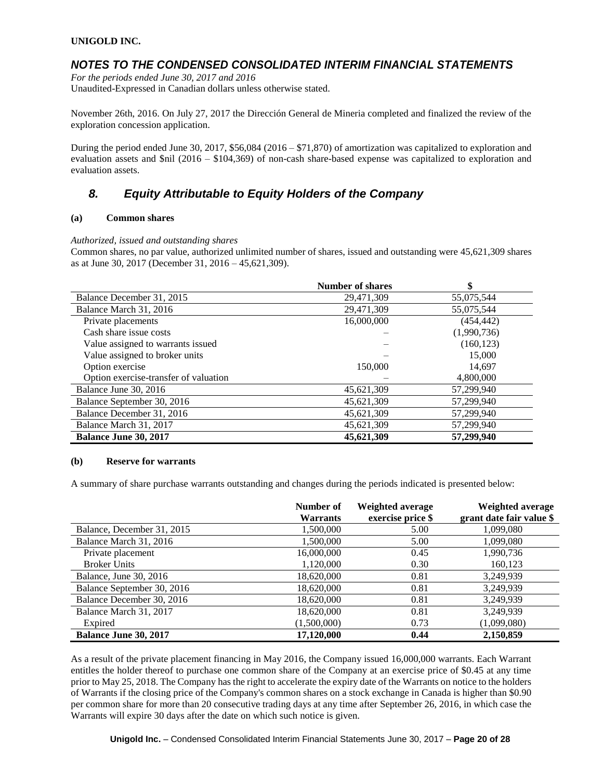### *NOTES TO THE CONDENSED CONSOLIDATED INTERIM FINANCIAL STATEMENTS*

*For the periods ended June 30, 2017 and 2016* Unaudited-Expressed in Canadian dollars unless otherwise stated.

November 26th, 2016. On July 27, 2017 the Dirección General de Mineria completed and finalized the review of the exploration concession application.

During the period ended June 30, 2017, \$56,084 (2016 – \$71,870) of amortization was capitalized to exploration and evaluation assets and \$nil (2016 – \$104,369) of non-cash share-based expense was capitalized to exploration and evaluation assets.

# *8. Equity Attributable to Equity Holders of the Company*

#### **(a) Common shares**

#### *Authorized, issued and outstanding shares*

Common shares, no par value, authorized unlimited number of shares, issued and outstanding were 45,621,309 shares as at June 30, 2017 (December 31, 2016 – 45,621,309).

|                                       | <b>Number of shares</b> |             |
|---------------------------------------|-------------------------|-------------|
| Balance December 31, 2015             | 29,471,309              | 55,075,544  |
| Balance March 31, 2016                | 29,471,309              | 55,075,544  |
| Private placements                    | 16,000,000              | (454, 442)  |
| Cash share issue costs                |                         | (1,990,736) |
| Value assigned to warrants issued     |                         | (160, 123)  |
| Value assigned to broker units        |                         | 15,000      |
| Option exercise                       | 150,000                 | 14,697      |
| Option exercise-transfer of valuation |                         | 4,800,000   |
| Balance June 30, 2016                 | 45,621,309              | 57,299,940  |
| Balance September 30, 2016            | 45,621,309              | 57,299,940  |
| Balance December 31, 2016             | 45,621,309              | 57,299,940  |
| Balance March 31, 2017                | 45,621,309              | 57,299,940  |
| <b>Balance June 30, 2017</b>          | 45,621,309              | 57,299,940  |

#### **(b) Reserve for warrants**

A summary of share purchase warrants outstanding and changes during the periods indicated is presented below:

|                              | Number of<br><b>Warrants</b> | Weighted average<br>exercise price \$ | Weighted average<br>grant date fair value \$ |
|------------------------------|------------------------------|---------------------------------------|----------------------------------------------|
| Balance, December 31, 2015   | 1,500,000                    | 5.00                                  | 1,099,080                                    |
| Balance March 31, 2016       | 1,500,000                    | 5.00                                  | 1,099,080                                    |
| Private placement            | 16,000,000                   | 0.45                                  | 1,990,736                                    |
| <b>Broker Units</b>          | 1,120,000                    | 0.30                                  | 160,123                                      |
| Balance, June 30, 2016       | 18,620,000                   | 0.81                                  | 3,249,939                                    |
| Balance September 30, 2016   | 18,620,000                   | 0.81                                  | 3,249,939                                    |
| Balance December 30, 2016    | 18,620,000                   | 0.81                                  | 3,249,939                                    |
| Balance March 31, 2017       | 18,620,000                   | 0.81                                  | 3,249,939                                    |
| Expired                      | (1,500,000)                  | 0.73                                  | (1,099,080)                                  |
| <b>Balance June 30, 2017</b> | 17,120,000                   | 0.44                                  | 2,150,859                                    |

As a result of the private placement financing in May 2016, the Company issued 16,000,000 warrants. Each Warrant entitles the holder thereof to purchase one common share of the Company at an exercise price of \$0.45 at any time prior to May 25, 2018. The Company has the right to accelerate the expiry date of the Warrants on notice to the holders of Warrants if the closing price of the Company's common shares on a stock exchange in Canada is higher than \$0.90 per common share for more than 20 consecutive trading days at any time after September 26, 2016, in which case the Warrants will expire 30 days after the date on which such notice is given.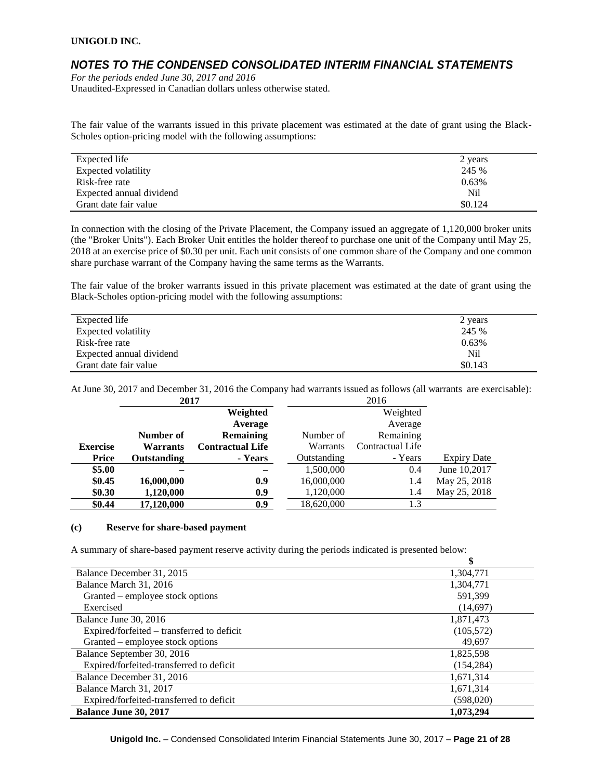### *NOTES TO THE CONDENSED CONSOLIDATED INTERIM FINANCIAL STATEMENTS*

*For the periods ended June 30, 2017 and 2016* Unaudited-Expressed in Canadian dollars unless otherwise stated.

The fair value of the warrants issued in this private placement was estimated at the date of grant using the Black-Scholes option-pricing model with the following assumptions:

| Expected life            | 2 years |
|--------------------------|---------|
| Expected volatility      | 245 %   |
| Risk-free rate           | 0.63%   |
| Expected annual dividend | Nil     |
| Grant date fair value    | \$0.124 |

In connection with the closing of the Private Placement, the Company issued an aggregate of 1,120,000 broker units (the "Broker Units"). Each Broker Unit entitles the holder thereof to purchase one unit of the Company until May 25, 2018 at an exercise price of \$0.30 per unit. Each unit consists of one common share of the Company and one common share purchase warrant of the Company having the same terms as the Warrants.

The fair value of the broker warrants issued in this private placement was estimated at the date of grant using the Black-Scholes option-pricing model with the following assumptions:

| Expected life            | 2 years |
|--------------------------|---------|
| Expected volatility      | 245 %   |
| Risk-free rate           | 0.63%   |
| Expected annual dividend | Nil     |
| Grant date fair value    | \$0.143 |

At June 30, 2017 and December 31, 2016 the Company had warrants issued as follows (all warrants are exercisable):

|                                    | 2017 |                         |             | 2016             |                    |
|------------------------------------|------|-------------------------|-------------|------------------|--------------------|
|                                    |      | Weighted                |             | Weighted         |                    |
|                                    |      | Average                 |             | Average          |                    |
| Number of                          |      | Remaining               | Number of   | Remaining        |                    |
| <b>Exercise</b><br><b>Warrants</b> |      | <b>Contractual Life</b> | Warrants    | Contractual Life |                    |
| <b>Price</b><br><b>Outstanding</b> |      | - Years                 | Outstanding | - Years          | <b>Expiry Date</b> |
| \$5.00                             |      |                         | 1,500,000   | 0.4              | June 10,2017       |
| \$0.45<br>16,000,000               |      | 0.9                     | 16,000,000  | 1.4              | May 25, 2018       |
| \$0.30<br>1,120,000                |      | 0.9                     | 1,120,000   | 1.4              | May 25, 2018       |
| \$0.44<br>17,120,000               |      | 0.9                     | 18,620,000  | 1.3              |                    |

#### **(c) Reserve for share-based payment**

A summary of share-based payment reserve activity during the periods indicated is presented below:

| Balance December 31, 2015                  | 1,304,771  |
|--------------------------------------------|------------|
| Balance March 31, 2016                     | 1,304,771  |
| Granted – employee stock options           | 591,399    |
| Exercised                                  | (14,697)   |
| Balance June 30, 2016                      | 1,871,473  |
| Expired/forfeited – transferred to deficit | (105, 572) |
| Granted – employee stock options           | 49,697     |
| Balance September 30, 2016                 | 1,825,598  |
| Expired/forfeited-transferred to deficit   | (154, 284) |
| Balance December 31, 2016                  | 1,671,314  |
| Balance March 31, 2017                     | 1,671,314  |
| Expired/forfeited-transferred to deficit   | (598,020)  |
| <b>Balance June 30, 2017</b>               | 1.073.294  |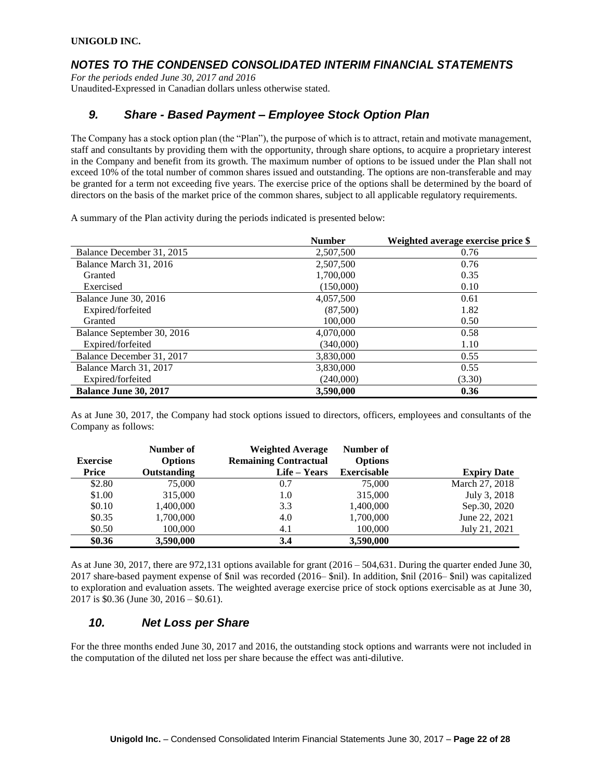### *NOTES TO THE CONDENSED CONSOLIDATED INTERIM FINANCIAL STATEMENTS*

*For the periods ended June 30, 2017 and 2016* Unaudited-Expressed in Canadian dollars unless otherwise stated.

### *9. Share - Based Payment – Employee Stock Option Plan*

The Company has a stock option plan (the "Plan"), the purpose of which is to attract, retain and motivate management, staff and consultants by providing them with the opportunity, through share options, to acquire a proprietary interest in the Company and benefit from its growth. The maximum number of options to be issued under the Plan shall not exceed 10% of the total number of common shares issued and outstanding. The options are non-transferable and may be granted for a term not exceeding five years. The exercise price of the options shall be determined by the board of directors on the basis of the market price of the common shares, subject to all applicable regulatory requirements.

A summary of the Plan activity during the periods indicated is presented below:

|                              | <b>Number</b> | Weighted average exercise price \$ |
|------------------------------|---------------|------------------------------------|
| Balance December 31, 2015    | 2,507,500     | 0.76                               |
| Balance March 31, 2016       | 2,507,500     | 0.76                               |
| Granted                      | 1,700,000     | 0.35                               |
| Exercised                    | (150,000)     | 0.10                               |
| Balance June 30, 2016        | 4,057,500     | 0.61                               |
| Expired/forfeited            | (87,500)      | 1.82                               |
| Granted                      | 100,000       | 0.50                               |
| Balance September 30, 2016   | 4,070,000     | 0.58                               |
| Expired/forfeited            | (340,000)     | 1.10                               |
| Balance December 31, 2017    | 3.830,000     | 0.55                               |
| Balance March 31, 2017       | 3,830,000     | 0.55                               |
| Expired/forfeited            | (240,000)     | (3.30)                             |
| <b>Balance June 30, 2017</b> | 3,590,000     | 0.36                               |

As at June 30, 2017, the Company had stock options issued to directors, officers, employees and consultants of the Company as follows:

| <b>Exercise</b> | Number of<br><b>Options</b> | <b>Weighted Average</b><br><b>Remaining Contractual</b> | Number of<br><b>Options</b> |                    |
|-----------------|-----------------------------|---------------------------------------------------------|-----------------------------|--------------------|
| Price           | Outstanding                 | Life – Years                                            | <b>Exercisable</b>          | <b>Expiry Date</b> |
| \$2.80          | 75,000                      | 0.7                                                     | 75,000                      | March 27, 2018     |
| \$1.00          | 315,000                     | 1.0                                                     | 315,000                     | July 3, 2018       |
| \$0.10          | 1,400,000                   | 3.3                                                     | 1.400.000                   | Sep.30, 2020       |
| \$0.35          | 1,700,000                   | 4.0                                                     | 1,700,000                   | June 22, 2021      |
| \$0.50          | 100,000                     | 4.1                                                     | 100,000                     | July 21, 2021      |
| \$0.36          | 3,590,000                   | 3.4                                                     | 3,590,000                   |                    |

As at June 30, 2017, there are 972,131 options available for grant (2016 – 504,631. During the quarter ended June 30, 2017 share-based payment expense of \$nil was recorded (2016– \$nil). In addition, \$nil (2016– \$nil) was capitalized to exploration and evaluation assets. The weighted average exercise price of stock options exercisable as at June 30, 2017 is \$0.36 (June 30, 2016 – \$0.61).

### *10. Net Loss per Share*

For the three months ended June 30, 2017 and 2016, the outstanding stock options and warrants were not included in the computation of the diluted net loss per share because the effect was anti-dilutive.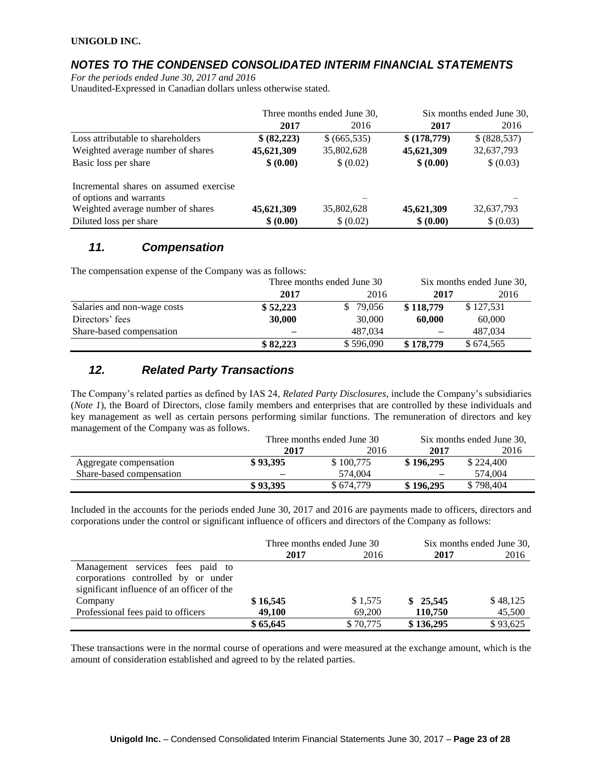### *NOTES TO THE CONDENSED CONSOLIDATED INTERIM FINANCIAL STATEMENTS*

*For the periods ended June 30, 2017 and 2016*

Unaudited-Expressed in Canadian dollars unless otherwise stated.

|                                        | Three months ended June 30, |             |             | Six months ended June 30, |
|----------------------------------------|-----------------------------|-------------|-------------|---------------------------|
|                                        | 2017                        | 2016        | 2017        | 2016                      |
| Loss attributable to shareholders      | \$ (82,223)                 | \$(665,535) | \$(178,779) | \$(828,537)               |
| Weighted average number of shares      | 45,621,309                  | 35,802,628  | 45,621,309  | 32,637,793                |
| Basic loss per share                   | \$ (0.00)                   | \$ (0.02)   | \$ (0.00)   | \$ (0.03)                 |
| Incremental shares on assumed exercise |                             |             |             |                           |
| of options and warrants                |                             |             |             |                           |
| Weighted average number of shares      | 45,621,309                  | 35,802,628  | 45,621,309  | 32,637,793                |
| Diluted loss per share                 | \$ (0.00)                   | \$ (0.02)   | \$ (0.00)   | \$ (0.03)                 |

### *11. Compensation*

The compensation expense of the Company was as follows:

|                             | Three months ended June 30 |           | Six months ended June 30, |           |  |
|-----------------------------|----------------------------|-----------|---------------------------|-----------|--|
|                             | 2017                       | 2016      | 2017                      | 2016      |  |
| Salaries and non-wage costs | \$52,223                   | 79.056    | \$118,779                 | \$127,531 |  |
| Directors' fees             | 30,000                     | 30,000    | 60,000                    | 60,000    |  |
| Share-based compensation    |                            | 487.034   |                           | 487.034   |  |
|                             | \$82,223                   | \$596,090 | \$178,779                 | \$674,565 |  |

### *12. Related Party Transactions*

The Company's related parties as defined by IAS 24, *Related Party Disclosures*, include the Company's subsidiaries (*Note 1*), the Board of Directors, close family members and enterprises that are controlled by these individuals and key management as well as certain persons performing similar functions. The remuneration of directors and key management of the Company was as follows.

|                          |              | Three months ended June 30 | Six months ended June 30, |           |  |
|--------------------------|--------------|----------------------------|---------------------------|-----------|--|
|                          | 2016<br>2017 |                            | 2017                      | 2016      |  |
| Aggregate compensation   | \$93.395     | \$100,775                  | \$196,295                 | \$224,400 |  |
| Share-based compensation |              | 574.004                    |                           | 574,004   |  |
|                          | \$93.395     | \$674.779                  | \$196,295                 | \$798,404 |  |

Included in the accounts for the periods ended June 30, 2017 and 2016 are payments made to officers, directors and corporations under the control or significant influence of officers and directors of the Company as follows:

|                                                                                                                       | Three months ended June 30 |          | Six months ended June 30, |          |
|-----------------------------------------------------------------------------------------------------------------------|----------------------------|----------|---------------------------|----------|
|                                                                                                                       | 2017                       | 2016     | 2017                      | 2016     |
| Management services fees paid to<br>corporations controlled by or under<br>significant influence of an officer of the |                            |          |                           |          |
| Company                                                                                                               | \$16,545                   | \$1,575  | \$25,545                  | \$48,125 |
| Professional fees paid to officers                                                                                    | 49,100                     | 69,200   | 110,750                   | 45,500   |
|                                                                                                                       | \$65,645                   | \$70,775 | \$136,295                 | \$93,625 |

These transactions were in the normal course of operations and were measured at the exchange amount, which is the amount of consideration established and agreed to by the related parties.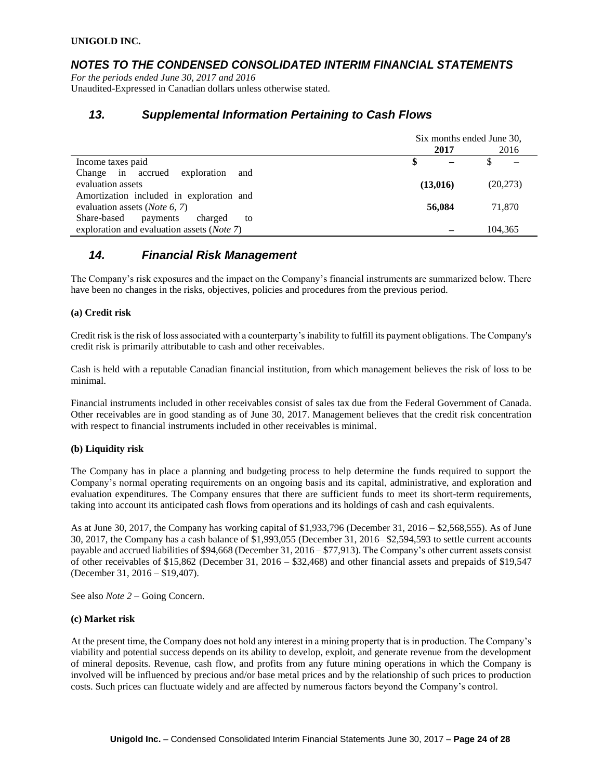### *NOTES TO THE CONDENSED CONSOLIDATED INTERIM FINANCIAL STATEMENTS*

*For the periods ended June 30, 2017 and 2016* Unaudited-Expressed in Canadian dollars unless otherwise stated.

### *13. Supplemental Information Pertaining to Cash Flows*

|                                                    | Six months ended June 30, |          |          |      |
|----------------------------------------------------|---------------------------|----------|----------|------|
|                                                    |                           | 2017     |          | 2016 |
| Income taxes paid                                  |                           |          |          |      |
| Change in accrued<br>exploration<br>and            |                           |          |          |      |
| evaluation assets                                  |                           | (13,016) | (20,273) |      |
| Amortization included in exploration and           |                           |          |          |      |
| evaluation assets ( <i>Note</i> 6, 7)              |                           | 56,084   | 71,870   |      |
| Share-based<br>charged<br>payments<br>to           |                           |          |          |      |
| exploration and evaluation assets ( <i>Note</i> 7) |                           |          | 104,365  |      |

### *14. Financial Risk Management*

The Company's risk exposures and the impact on the Company's financial instruments are summarized below. There have been no changes in the risks, objectives, policies and procedures from the previous period.

#### **(a) Credit risk**

Credit risk is the risk of loss associated with a counterparty's inability to fulfill its payment obligations. The Company's credit risk is primarily attributable to cash and other receivables.

Cash is held with a reputable Canadian financial institution, from which management believes the risk of loss to be minimal.

Financial instruments included in other receivables consist of sales tax due from the Federal Government of Canada. Other receivables are in good standing as of June 30, 2017. Management believes that the credit risk concentration with respect to financial instruments included in other receivables is minimal.

#### **(b) Liquidity risk**

The Company has in place a planning and budgeting process to help determine the funds required to support the Company's normal operating requirements on an ongoing basis and its capital, administrative, and exploration and evaluation expenditures. The Company ensures that there are sufficient funds to meet its short-term requirements, taking into account its anticipated cash flows from operations and its holdings of cash and cash equivalents.

As at June 30, 2017, the Company has working capital of \$1,933,796 (December 31, 2016 – \$2,568,555). As of June 30, 2017, the Company has a cash balance of \$1,993,055 (December 31, 2016– \$2,594,593 to settle current accounts payable and accrued liabilities of \$94,668 (December 31, 2016 – \$77,913). The Company's other current assets consist of other receivables of \$15,862 (December 31, 2016 – \$32,468) and other financial assets and prepaids of \$19,547 (December 31, 2016 – \$19,407).

See also *Note 2* – Going Concern.

#### **(c) Market risk**

At the present time, the Company does not hold any interest in a mining property that is in production. The Company's viability and potential success depends on its ability to develop, exploit, and generate revenue from the development of mineral deposits. Revenue, cash flow, and profits from any future mining operations in which the Company is involved will be influenced by precious and/or base metal prices and by the relationship of such prices to production costs. Such prices can fluctuate widely and are affected by numerous factors beyond the Company's control.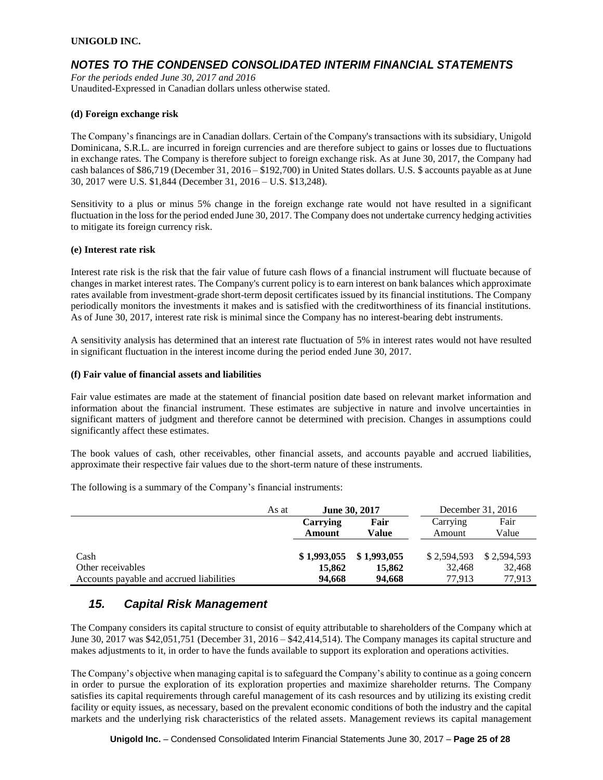### *NOTES TO THE CONDENSED CONSOLIDATED INTERIM FINANCIAL STATEMENTS*

*For the periods ended June 30, 2017 and 2016* Unaudited-Expressed in Canadian dollars unless otherwise stated.

#### **(d) Foreign exchange risk**

The Company's financings are in Canadian dollars. Certain of the Company's transactions with its subsidiary, Unigold Dominicana, S.R.L. are incurred in foreign currencies and are therefore subject to gains or losses due to fluctuations in exchange rates. The Company is therefore subject to foreign exchange risk. As at June 30, 2017, the Company had cash balances of \$86,719 (December 31, 2016 – \$192,700) in United States dollars. U.S. \$ accounts payable as at June 30, 2017 were U.S. \$1,844 (December 31, 2016 – U.S. \$13,248).

Sensitivity to a plus or minus 5% change in the foreign exchange rate would not have resulted in a significant fluctuation in the loss for the period ended June 30, 2017. The Company does not undertake currency hedging activities to mitigate its foreign currency risk.

#### **(e) Interest rate risk**

Interest rate risk is the risk that the fair value of future cash flows of a financial instrument will fluctuate because of changes in market interest rates. The Company's current policy is to earn interest on bank balances which approximate rates available from investment-grade short-term deposit certificates issued by its financial institutions. The Company periodically monitors the investments it makes and is satisfied with the creditworthiness of its financial institutions. As of June 30, 2017, interest rate risk is minimal since the Company has no interest-bearing debt instruments.

A sensitivity analysis has determined that an interest rate fluctuation of 5% in interest rates would not have resulted in significant fluctuation in the interest income during the period ended June 30, 2017.

#### **(f) Fair value of financial assets and liabilities**

Fair value estimates are made at the statement of financial position date based on relevant market information and information about the financial instrument. These estimates are subjective in nature and involve uncertainties in significant matters of judgment and therefore cannot be determined with precision. Changes in assumptions could significantly affect these estimates.

The book values of cash, other receivables, other financial assets, and accounts payable and accrued liabilities, approximate their respective fair values due to the short-term nature of these instruments.

The following is a summary of the Company's financial instruments:

|                                          | As at | June 30, 2017             |        | December 31, 2016 |             |
|------------------------------------------|-------|---------------------------|--------|-------------------|-------------|
|                                          |       | Carrying                  | Fair   | Carrying          | Fair        |
|                                          |       | Amount                    | Value  | Amount            | Value       |
|                                          |       |                           |        |                   |             |
| Cash                                     |       | $$1,993,055$ $$1,993,055$ |        | \$2,594,593       | \$2,594,593 |
| Other receivables                        |       | 15,862                    | 15,862 | 32,468            | 32,468      |
| Accounts payable and accrued liabilities |       | 94,668                    | 94.668 | 77.913            | 77,913      |

### *15. Capital Risk Management*

The Company considers its capital structure to consist of equity attributable to shareholders of the Company which at June 30, 2017 was \$42,051,751 (December 31, 2016 – \$42,414,514). The Company manages its capital structure and makes adjustments to it, in order to have the funds available to support its exploration and operations activities.

The Company's objective when managing capital is to safeguard the Company's ability to continue as a going concern in order to pursue the exploration of its exploration properties and maximize shareholder returns. The Company satisfies its capital requirements through careful management of its cash resources and by utilizing its existing credit facility or equity issues, as necessary, based on the prevalent economic conditions of both the industry and the capital markets and the underlying risk characteristics of the related assets. Management reviews its capital management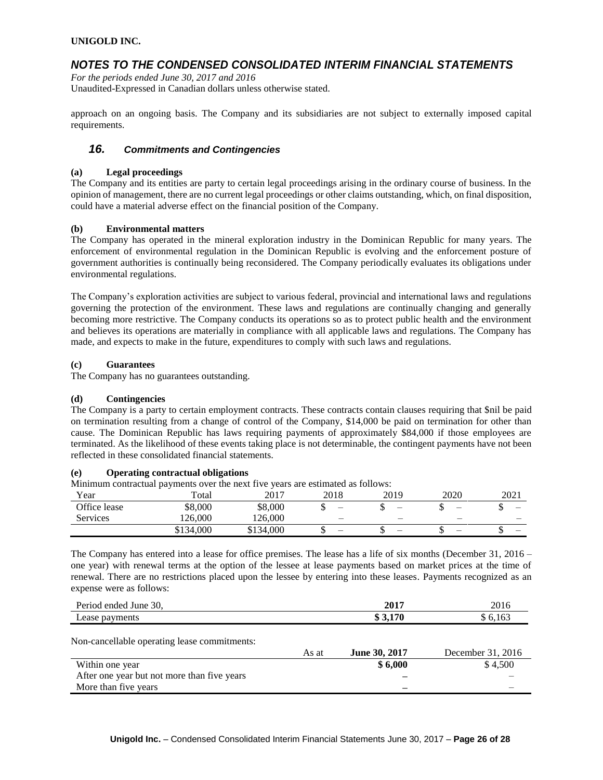### *NOTES TO THE CONDENSED CONSOLIDATED INTERIM FINANCIAL STATEMENTS*

*For the periods ended June 30, 2017 and 2016* Unaudited-Expressed in Canadian dollars unless otherwise stated.

approach on an ongoing basis. The Company and its subsidiaries are not subject to externally imposed capital requirements.

### *16. Commitments and Contingencies*

#### **(a) Legal proceedings**

The Company and its entities are party to certain legal proceedings arising in the ordinary course of business. In the opinion of management, there are no current legal proceedings or other claims outstanding, which, on final disposition, could have a material adverse effect on the financial position of the Company.

#### **(b) Environmental matters**

The Company has operated in the mineral exploration industry in the Dominican Republic for many years. The enforcement of environmental regulation in the Dominican Republic is evolving and the enforcement posture of government authorities is continually being reconsidered. The Company periodically evaluates its obligations under environmental regulations.

The Company's exploration activities are subject to various federal, provincial and international laws and regulations governing the protection of the environment. These laws and regulations are continually changing and generally becoming more restrictive. The Company conducts its operations so as to protect public health and the environment and believes its operations are materially in compliance with all applicable laws and regulations. The Company has made, and expects to make in the future, expenditures to comply with such laws and regulations.

#### **(c) Guarantees**

The Company has no guarantees outstanding.

#### **(d) Contingencies**

The Company is a party to certain employment contracts. These contracts contain clauses requiring that \$nil be paid on termination resulting from a change of control of the Company, \$14,000 be paid on termination for other than cause. The Dominican Republic has laws requiring payments of approximately \$84,000 if those employees are terminated. As the likelihood of these events taking place is not determinable, the contingent payments have not been reflected in these consolidated financial statements.

#### **(e) Operating contractual obligations**

Minimum contractual payments over the next five years are estimated as follows:

| Year         | Total     | 2017      | 2018                     | 2019 | 2020 | 2021                     |
|--------------|-----------|-----------|--------------------------|------|------|--------------------------|
| Office lease | \$8,000   | \$8,000   | -                        | –    | –    | $\overline{\phantom{0}}$ |
| Services     | 126,000   | 126,000   | $\overline{\phantom{0}}$ | -    | -    | $\overline{\phantom{0}}$ |
|              | \$134,000 | \$134,000 | -                        | –    | –    | $\overline{\phantom{0}}$ |

The Company has entered into a lease for office premises. The lease has a life of six months (December 31, 2016 – one year) with renewal terms at the option of the lessee at lease payments based on market prices at the time of renewal. There are no restrictions placed upon the lessee by entering into these leases. Payments recognized as an expense were as follows:

| $\gamma$<br>ended<br>June<br>rıod<br>OU. | $201^{-}$ | nn<br>20 I C |
|------------------------------------------|-----------|--------------|
| -<br>$\cdots$<br>$A$ 3 $B$               | $-$<br>٠П |              |

Non-cancellable operating lease commitments:

|                                             | As at | June 30, 2017 | December 31, 2016 |
|---------------------------------------------|-------|---------------|-------------------|
| Within one year                             |       | \$6.000       | \$4.500           |
| After one year but not more than five years |       | _             |                   |
| More than five years                        |       | -             |                   |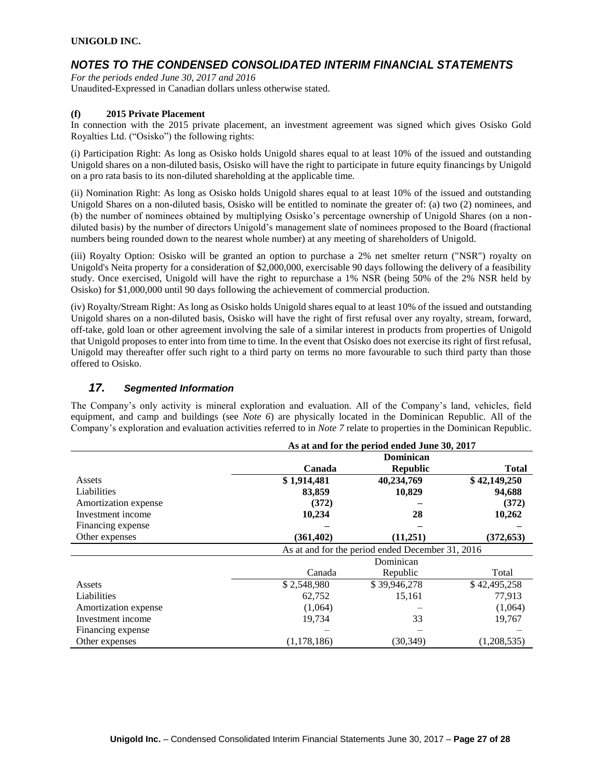# *NOTES TO THE CONDENSED CONSOLIDATED INTERIM FINANCIAL STATEMENTS*

*For the periods ended June 30, 2017 and 2016* Unaudited-Expressed in Canadian dollars unless otherwise stated.

### **(f) 2015 Private Placement**

In connection with the 2015 private placement, an investment agreement was signed which gives Osisko Gold Royalties Ltd. ("Osisko") the following rights:

(i) Participation Right: As long as Osisko holds Unigold shares equal to at least 10% of the issued and outstanding Unigold shares on a non-diluted basis, Osisko will have the right to participate in future equity financings by Unigold on a pro rata basis to its non-diluted shareholding at the applicable time.

(ii) Nomination Right: As long as Osisko holds Unigold shares equal to at least 10% of the issued and outstanding Unigold Shares on a non-diluted basis, Osisko will be entitled to nominate the greater of: (a) two (2) nominees, and (b) the number of nominees obtained by multiplying Osisko's percentage ownership of Unigold Shares (on a nondiluted basis) by the number of directors Unigold's management slate of nominees proposed to the Board (fractional numbers being rounded down to the nearest whole number) at any meeting of shareholders of Unigold.

(iii) Royalty Option: Osisko will be granted an option to purchase a 2% net smelter return ("NSR") royalty on Unigold's Neita property for a consideration of \$2,000,000, exercisable 90 days following the delivery of a feasibility study. Once exercised, Unigold will have the right to repurchase a 1% NSR (being 50% of the 2% NSR held by Osisko) for \$1,000,000 until 90 days following the achievement of commercial production.

(iv) Royalty/Stream Right: As long as Osisko holds Unigold shares equal to at least 10% of the issued and outstanding Unigold shares on a non-diluted basis, Osisko will have the right of first refusal over any royalty, stream, forward, off-take, gold loan or other agreement involving the sale of a similar interest in products from properties of Unigold that Unigold proposes to enter into from time to time. In the event that Osisko does not exercise its right of first refusal, Unigold may thereafter offer such right to a third party on terms no more favourable to such third party than those offered to Osisko.

### *17. Segmented Information*

The Company's only activity is mineral exploration and evaluation. All of the Company's land, vehicles, field equipment, and camp and buildings (see *Note 6*) are physically located in the Dominican Republic. All of the Company's exploration and evaluation activities referred to in *Note 7* relate to properties in the Dominican Republic.

|                      | As at and for the period ended June 30, 2017     |                  |              |  |  |
|----------------------|--------------------------------------------------|------------------|--------------|--|--|
|                      |                                                  | <b>Dominican</b> |              |  |  |
|                      | Canada                                           | <b>Republic</b>  | Total        |  |  |
| Assets               | \$1,914,481                                      | 40,234,769       | \$42,149,250 |  |  |
| Liabilities          | 83,859                                           | 10,829           | 94,688       |  |  |
| Amortization expense | (372)                                            |                  | (372)        |  |  |
| Investment income    | 10,234                                           | 28               | 10,262       |  |  |
| Financing expense    |                                                  |                  |              |  |  |
| Other expenses       | (361, 402)                                       | (11,251)         | (372, 653)   |  |  |
|                      | As at and for the period ended December 31, 2016 |                  |              |  |  |
|                      |                                                  | Dominican        |              |  |  |
|                      | Canada                                           | Republic         | Total        |  |  |
| Assets               | \$2,548,980                                      | \$39,946,278     | \$42,495,258 |  |  |
| Liabilities          | 62.752                                           | 15,161           | 77,913       |  |  |
| Amortization expense | (1,064)                                          |                  | (1,064)      |  |  |
| Investment income    | 19,734                                           | 33               | 19,767       |  |  |
| Financing expense    |                                                  |                  |              |  |  |
|                      |                                                  |                  |              |  |  |